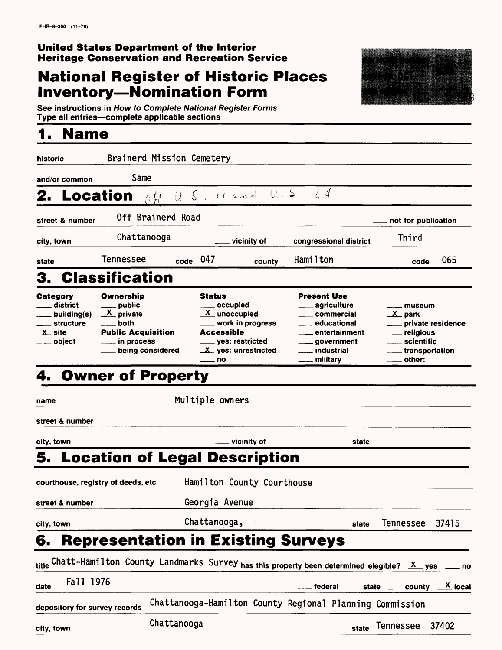### **United States Department of the Interior Heritage Conservation and Recreation Service**

### **National Register of Historic Places Inventory—Nomination Form**



**See instructions in How to Complete National Register Forms Type all entries—complete applicable sections** 

### **1. Name**

| historic                                                                                       | Brainerd Mission Cemetery                                                                                                                   |               |                                                                                                                                             |                                                                                                                                                                                              |                                                                                                                                  |
|------------------------------------------------------------------------------------------------|---------------------------------------------------------------------------------------------------------------------------------------------|---------------|---------------------------------------------------------------------------------------------------------------------------------------------|----------------------------------------------------------------------------------------------------------------------------------------------------------------------------------------------|----------------------------------------------------------------------------------------------------------------------------------|
| and/or common                                                                                  | Same                                                                                                                                        |               |                                                                                                                                             |                                                                                                                                                                                              |                                                                                                                                  |
| 2. Location                                                                                    | 医科                                                                                                                                          |               | $U.S.$ $H$ and $U.S$                                                                                                                        | $\mathcal{L}$ 4                                                                                                                                                                              |                                                                                                                                  |
| street & number                                                                                | Off Brainerd Road                                                                                                                           |               |                                                                                                                                             |                                                                                                                                                                                              | not for publication                                                                                                              |
| city, town                                                                                     | Chattanooga                                                                                                                                 |               | vicinity of                                                                                                                                 | congressional district                                                                                                                                                                       | Third                                                                                                                            |
| state                                                                                          | Tennessee                                                                                                                                   | - 047<br>code | county                                                                                                                                      | Hamilton                                                                                                                                                                                     | 065<br>code                                                                                                                      |
| 3.                                                                                             | <b>Classification</b>                                                                                                                       |               |                                                                                                                                             |                                                                                                                                                                                              |                                                                                                                                  |
| Category<br>__ district<br>___ building(s)<br>___ structure<br>$\mathbf{X}_{-}$ site<br>object | Ownership<br>___ public<br>$\frac{\mathsf{X}}{\mathsf{I}}$ private<br>both<br><b>Public Acquisition</b><br>. in process<br>being considered |               | <b>Status</b><br>____ occupied<br>X unoccupied<br>_ work in progress<br>Accessible<br>____ yes: restricted<br>$X$ yes: unrestricted<br>— no | <b>Present Use</b><br><sub>__</sub> ___ agriculture<br><sub>——</sub> commercial<br>educational___<br>entertainment<br><sub>__</sub> __ government<br>____ industrial<br><u>_</u> __ military | _ museum<br>$X$ park<br>___ private residence<br><sub>__</sub> ___ religious<br>____ scientific<br>$\_$ transportation<br>other: |
|                                                                                                | 4. Owner of Property                                                                                                                        |               |                                                                                                                                             |                                                                                                                                                                                              |                                                                                                                                  |
| name                                                                                           |                                                                                                                                             |               | Multiple owners                                                                                                                             |                                                                                                                                                                                              |                                                                                                                                  |
| street & number                                                                                |                                                                                                                                             |               |                                                                                                                                             |                                                                                                                                                                                              |                                                                                                                                  |
| city, town                                                                                     |                                                                                                                                             |               | vicinity of                                                                                                                                 | state                                                                                                                                                                                        |                                                                                                                                  |
|                                                                                                | <b>5. Location of Legal Description</b>                                                                                                     |               |                                                                                                                                             |                                                                                                                                                                                              |                                                                                                                                  |
|                                                                                                | courthouse, registry of deeds, etc.                                                                                                         |               | Hamilton County Courthouse                                                                                                                  |                                                                                                                                                                                              |                                                                                                                                  |
| street & number                                                                                |                                                                                                                                             |               | Georgia Avenue                                                                                                                              |                                                                                                                                                                                              |                                                                                                                                  |
| city, town                                                                                     |                                                                                                                                             |               | Chattanooga,                                                                                                                                | state                                                                                                                                                                                        | Tennessee<br>37415                                                                                                               |
| 6.                                                                                             | <b>Representation in Existing Surveys</b>                                                                                                   |               |                                                                                                                                             |                                                                                                                                                                                              |                                                                                                                                  |
|                                                                                                |                                                                                                                                             |               |                                                                                                                                             | <sub>title</sub> Chatt-Hamilton County Landmarks Survey <sub>has this property been determined elegible? _X_ yes</sub>                                                                       | $\equiv$ no                                                                                                                      |
| Fall 1976<br>date                                                                              |                                                                                                                                             |               |                                                                                                                                             | federal<br>state                                                                                                                                                                             | $\frac{\mathsf{X}}{\mathsf{A}}$ local<br>county                                                                                  |
| depository for survey records                                                                  |                                                                                                                                             |               |                                                                                                                                             | Chattanooga-Hamilton County Regional Planning Commission                                                                                                                                     |                                                                                                                                  |
| city, town                                                                                     |                                                                                                                                             | Chattanooga   |                                                                                                                                             | state                                                                                                                                                                                        | <b>Tennessee</b><br>37402                                                                                                        |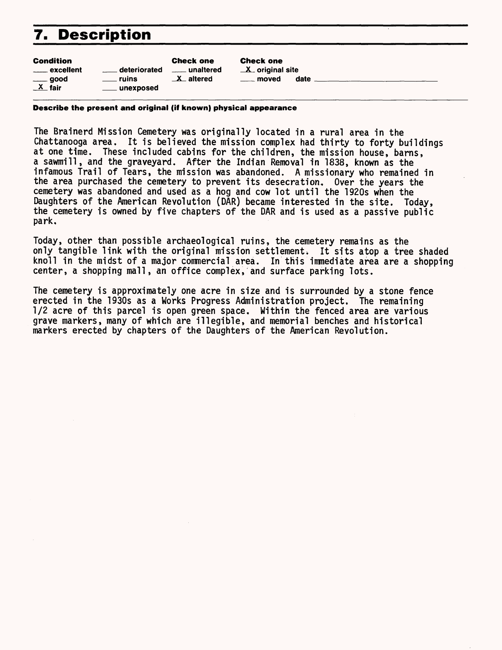### **7. Description**

| <b>Condition</b>       |                                   | <b>Check one</b>       | <b>Check o</b>     |
|------------------------|-----------------------------------|------------------------|--------------------|
| <u>__</u> __ excellent | deteriorated<br><b>Contractor</b> | <u>__</u> __ unaltered | $\mathbf{X}$ origi |
| $\equiv$ good          | ruins                             | $\mathbf{X}$ altered   | mov                |
| $X$ fair               | ____ unexposed                    |                        |                    |

me inal site ed date

#### **Describe the present and original (iff known) physical appearance**

The Brainerd Mission Cemetery was originally located in a rural area in the Chattanooga area. It is believed the mission complex had thirty to forty buildings at one time. These included cabins for the children, the mission house, barns, a sawmill, and the graveyard. After the Indian Removal in 1838, known as the infamous Trail of Tears, the mission was abandoned. A missionary who remained in the area purchased the cemetery to prevent its desecration. Over the years the cemetery was abandoned and used as a hog and cow lot until the 1920s when the Daughters of the American Revolution (DAR) became interested in the site. Today, the cemetery is owned by five chapters of the DAR and is used as a passive public park.

Today, other than possible archaeological ruins, the cemetery remains as the only tangible link with the original mission settlement. It sits atop a tree shaded knoll in the midst of a major commercial area. In this immediate area are a shopping center, a shopping mall, an office complex, and surface parking lots.

The cemetery is approximately one acre in size and is surrounded by a stone fence erected in the 1930s as a Works Progress Administration project. The remaining 1/2 acre of this parcel is open green space. Within the fenced area are various grave markers, many of which are illegible, and memorial benches and historical markers erected by chapters of the Daughters of the American Revolution.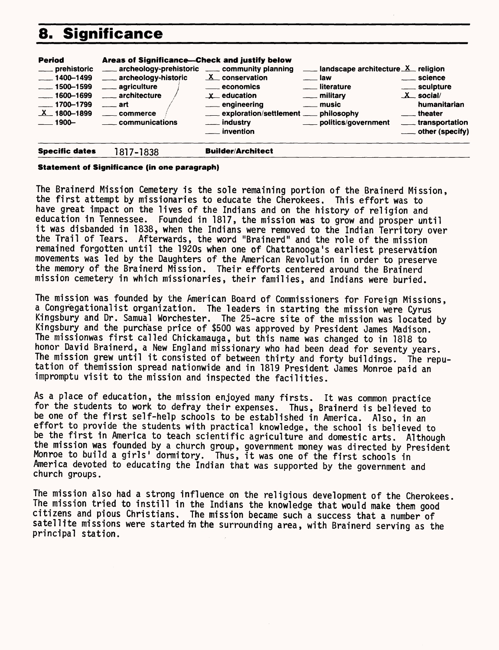# **8. Significance**

| <b>Period</b><br>____ prehistoric<br>$\frac{1}{2}$ 1400–1499<br>$\frac{1500 - 1599}{ }$<br>$-1600 - 1699$<br>$-1700 - 1799$<br>$X$ 1800-1899<br>$\rule{1.5mm}{0.1mm}$ 1900– | Areas of Significance—Check and justify below<br>archeology-prehistoric ____ community planning<br>___ archeology-historic<br><u>__</u> __ agriculture<br>____ architecture<br>$\equiv$ art<br>_____ commerce<br>____ communications | <b>Industry of the Control of the Control Control Control Control Control Control Control Control Control Control Control Control Control Control Control Control Control Control Control Control Control Control Control Contro</b><br>$X$ conservation<br>$\equiv$ law<br><u>_</u> ____ literature<br><u>_</u> ___ economics<br>$x$ education<br>____ military<br>___ engineering<br>$\equiv$ music<br>exploration/settlement __ philosophy<br>___ industry<br>___ politics/government<br>___ invention | ____ science<br>_____ sculpture<br>$X$ social/<br>humanitarian<br><u>__</u> _theater<br>____ transportation<br>$\equiv$ other (specify) |
|-----------------------------------------------------------------------------------------------------------------------------------------------------------------------------|--------------------------------------------------------------------------------------------------------------------------------------------------------------------------------------------------------------------------------------|-----------------------------------------------------------------------------------------------------------------------------------------------------------------------------------------------------------------------------------------------------------------------------------------------------------------------------------------------------------------------------------------------------------------------------------------------------------------------------------------------------------|-----------------------------------------------------------------------------------------------------------------------------------------|
| <b>Specific dates</b>                                                                                                                                                       | 1817-1838                                                                                                                                                                                                                            | <b>Builder/Architect</b>                                                                                                                                                                                                                                                                                                                                                                                                                                                                                  |                                                                                                                                         |

#### **Statement of Significance (in one paragraph)**

The Brainerd Mission Cemetery is the sole remaining portion of the Brainerd Mission, the first attempt by missionaries to educate the Cherokees. This effort was to have great impact on the lives of the Indians and on the history of religion and education in Tennessee. Founded in 1817, the mission was to grow and prosper until it was disbanded in 1838, when the Indians were removed to the Indian Territory over the Trail of Tears. Afterwards, the word "Brainerd" and the role of the mission remained forgotten until the 1920s when one of Chattanooga's earliest preservation movements was led by the Daughters of the American Revolution in order to preserve the memory of the Brainerd Mission. Their efforts centered around the Brainerd mission cemetery in which missionaries, their families, and Indians were buried.

The mission was founded by the American Board of Commissioners for Foreign Missions, a Congregationalist organization. The leaders in starting the mission were Cyrus Kingsbury and Dr. Samual Worchester. The 25-acre site of the mission was located by Kingsbury and the purchase price of \$500 was approved by President James Madison. The missionwas first called Chickamauga, but this name was changed to in 1818 to honor David Brainerd, a New England missionary who had been dead for seventy years. The mission grew until it consisted of between thirty and forty buildings. The reputation of themission spread nationwide and in 1819 President James Monroe paid an impromptu visit to the mission and inspected the facilities.

As a place of education, the mission enjoyed many firsts. It was common practice for the students to work to defray their expenses. Thus, Brainerd is believed to be one of the first self-help schools to be established in America. Also, in an effort to provide the students with practical knowledge, the school is believed to be the first in America to teach scientific agriculture and domestic arts. Although the mission was founded by a church group, government money was directed by President Monroe to build a girls' dormitory. Thus, it was one of the first schools in America devoted to educating the Indian that was supported by the government and church groups.

The mission also had a strong influence on the religious development of the Cherokees. The mission tried to instill in the Indians the knowledge that would make them good citizens and pious Christians, The mission became such a success that a number of satellite missions were started tn the surrounding area, with Brainerd serving as the principal station.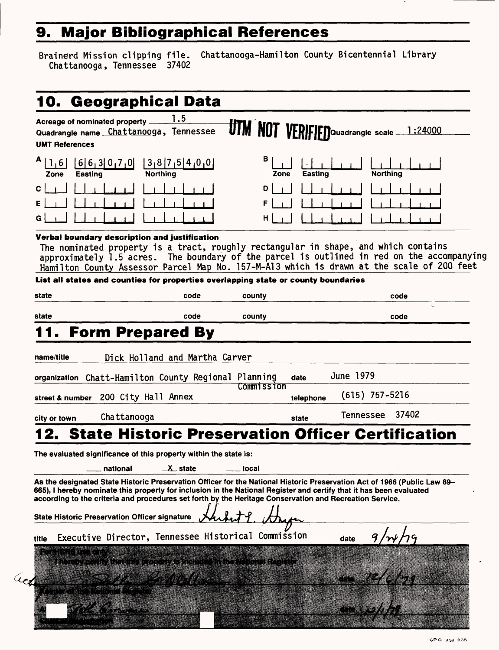# **9. Major Bibliographical References**

Brainerd Mission clipping file.<br>Chattanooga, Tennessee 37402

Chattanooga-Hamilton County Bicentennial Library

| Quadrangle name Chattanooga, Tennessee<br><b>UMT References</b>                                                                                                                                                                                                                                                                                                                                                                                | Acreage of nominated property _ | 1.5                                                                                                                                                                       | <b>UTM NOT VERIFIED</b> Quadrangle scale |           |                  | 1:24000                                                                                                                                                                                 |
|------------------------------------------------------------------------------------------------------------------------------------------------------------------------------------------------------------------------------------------------------------------------------------------------------------------------------------------------------------------------------------------------------------------------------------------------|---------------------------------|---------------------------------------------------------------------------------------------------------------------------------------------------------------------------|------------------------------------------|-----------|------------------|-----------------------------------------------------------------------------------------------------------------------------------------------------------------------------------------|
| A<br>1,6<br><b>Easting</b><br>Zone                                                                                                                                                                                                                                                                                                                                                                                                             | 6 6 3 0 7 0                     | 3,8 7,5 4,0,0 <br><b>Northing</b>                                                                                                                                         | в<br>Zone                                | Easting   | <b>Northing</b>  |                                                                                                                                                                                         |
| C<br>E<br>G                                                                                                                                                                                                                                                                                                                                                                                                                                    |                                 |                                                                                                                                                                           | D<br>F<br>н                              |           |                  |                                                                                                                                                                                         |
| Verbal boundary description and justification                                                                                                                                                                                                                                                                                                                                                                                                  |                                 | The nominated property is a tract, roughly rectangular in shape, and which contains<br>List all states and counties for properties overlapping state or county boundaries |                                          |           |                  | approximately 1.5 acres. The boundary of the parcel is outlined in red on the accompanying<br>Hamilton County Assessor Parcel Map No. 157-M-Al3 which is drawn at the scale of 200 feet |
| state                                                                                                                                                                                                                                                                                                                                                                                                                                          |                                 | code                                                                                                                                                                      | county                                   |           |                  | code                                                                                                                                                                                    |
| state                                                                                                                                                                                                                                                                                                                                                                                                                                          |                                 | code                                                                                                                                                                      | county                                   |           |                  | code                                                                                                                                                                                    |
| street & number                                                                                                                                                                                                                                                                                                                                                                                                                                | 200 City Hall Annex             |                                                                                                                                                                           | Commission                               | telephone | $(615)$ 757-5216 |                                                                                                                                                                                         |
| city or town                                                                                                                                                                                                                                                                                                                                                                                                                                   | Chattanooga                     |                                                                                                                                                                           |                                          | state     | <b>Tennessee</b> | 37402                                                                                                                                                                                   |
|                                                                                                                                                                                                                                                                                                                                                                                                                                                |                                 |                                                                                                                                                                           |                                          |           |                  | <b>State Historic Preservation Officer Certification</b>                                                                                                                                |
|                                                                                                                                                                                                                                                                                                                                                                                                                                                |                                 |                                                                                                                                                                           |                                          |           |                  |                                                                                                                                                                                         |
|                                                                                                                                                                                                                                                                                                                                                                                                                                                |                                 |                                                                                                                                                                           |                                          |           |                  |                                                                                                                                                                                         |
|                                                                                                                                                                                                                                                                                                                                                                                                                                                | national                        | $\perp$ state                                                                                                                                                             | <sub>—</sub> local                       |           |                  |                                                                                                                                                                                         |
|                                                                                                                                                                                                                                                                                                                                                                                                                                                |                                 |                                                                                                                                                                           |                                          |           |                  |                                                                                                                                                                                         |
| The evaluated significance of this property within the state is:                                                                                                                                                                                                                                                                                                                                                                               |                                 | Executive Director, Tennessee Historical Commission                                                                                                                       |                                          |           | date             |                                                                                                                                                                                         |
| As the designated State Historic Preservation Officer for the National Historic Preservation Act of 1966 (Public Law 89–<br>665), I hereby nominate this property for inclusion in the National Register and certify that it has been evaluated<br>according to the criteria and procedures set forth by the Heritage Conservation and Recreation Service.<br><b>State Historic Preservation Officer signature</b><br>title<br><b>ORS WANT</b> |                                 | thereby certify that this property is included in the National Register                                                                                                   |                                          |           |                  |                                                                                                                                                                                         |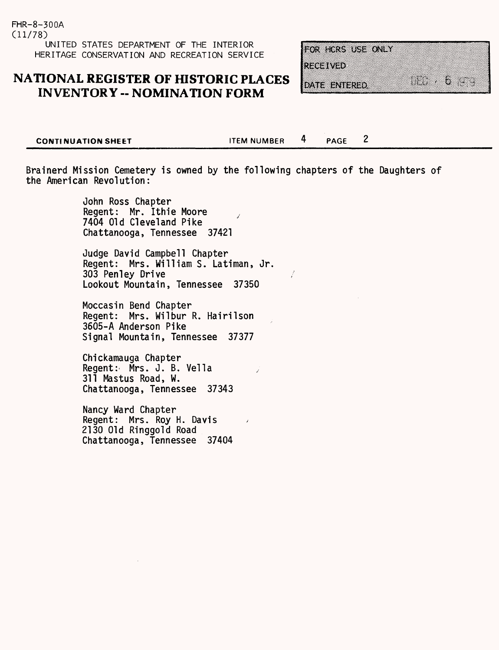### **NATIONAL REGISTER OF HISTORIC PLACES INVENTORY - NOMINATION FORM**

|          | FOR HORS USE ONLY |  |  |
|----------|-------------------|--|--|
|          |                   |  |  |
|          |                   |  |  |
|          |                   |  |  |
| :1203M30 |                   |  |  |
|          |                   |  |  |
|          |                   |  |  |
|          |                   |  |  |
|          |                   |  |  |
|          | date entered      |  |  |

 $\overline{2}$ 

**CONTINUATION SHEET ITEM NUMBER** 4 PAGE

Brainerd Mission Cemetery is owned by the following chapters of the Daughters of the American Revolution:

> John Ross Chapter Regent: Mr. Ithie Moore 7404 Old Cleveland Pike Chattanooga, Tennessee 37421

Judge David Campbell Chapter Regent: Mrs. William S. Latiman, Jr. 303 Penley Drive Lookout Mountain, Tennessee 37350

Moccasin Bend Chapter Regent: Mrs. Wilbur R. Hairilson 3605-A Anderson Pike Signal Mountain, Tennessee 37377

Chickamauga Chapter Regent: Mrs. J. B. Vella 311 Mastus Road, W. Chattanooga, Tennessee 37343

Nancy Ward Chapter Regent: Mrs. Roy H. Davis 2130 Old Ringgold Road Chattanooga, Tennessee 37404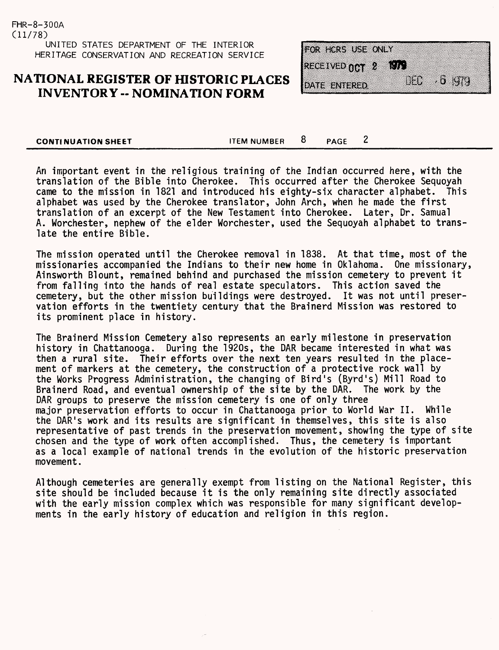### **NATIONAL REGISTER OF HISTORIC PLACES INVENTORY -- NOMINATION FORM**

FOR HCRS USE ONLY RECEIVED NOT 2 876 MC.  $\overline{\mathbf{u}}$ DATE ENTERED

| <b>CONTINUATION SHEET</b> | <b>ITEM NUMBER</b> | <b>PAGF</b> |  |
|---------------------------|--------------------|-------------|--|
|                           |                    |             |  |

An important event in the religious training of the Indian occurred here, with the translation of the Bible into Cherokee. This occurred after the Cherokee Sequoyah came to the mission in 1821 and introduced his eighty-six character alphabet. This alphabet was used by the Cherokee translator, John Arch, when he made the first translation of an excerpt of the New Testament into Cherokee. Later, Dr. Samual A. Worchester, nephew of the elder Worchester, used the Sequoyah alphabet to translate the entire Bible.

The mission operated until the Cherokee removal in 1838. At that time, most of the missionaries accompanied the Indians to their new home in Oklahoma. One missionary, Ainsworth Blount, remained behind and purchased the mission cemetery to prevent it from falling into the hands of real estate speculators. This action saved the cemetery, but the other mission buildings were destroyed. It was not until preservation efforts in the twentiety century that the Brainerd Mission was restored to its prominent place in history.

The Brainerd Mission Cemetery also represents an early milestone in preservation history in Chattanooga. During the 1920s, the DAR became interested in what was then a rural site. Their efforts over the next ten years resulted in the placement of markers at the cemetery, the construction of a protective rock wall by the Works Progress Administration, the changing of Bird's (Byrd's) Mill Road to Brainerd Road, and eventual ownership of the site by the DAR. The work by the DAR groups to preserve the mission cemetery is one of only three major preservation efforts to occur in Chattanooga prior to World War II. While the DAR's work and its results are significant in themselves, this site is also representative of past trends in the preservation movement, showing the type of site chosen and the type of work often accomplished. Thus, the cemetery is important as a local example of national trends in the evolution of the historic preservation movement.

Although cemeteries are generally exempt from listing on the National Register, this site should be included because it is the only remaining site directly associated with the early mission complex which was responsible for many significant developments in the early history of education and religion in this region.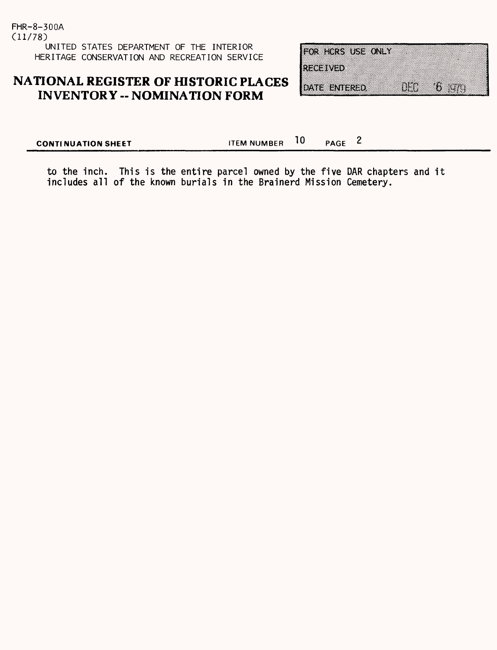FHR-8-300A (11/78) UNITED STATES DEPARTMENT OF THE INTERIOR HERITAGE CONSERVATION AND RECREATION SERVICE

### **NATIONAL REGISTER OF HISTORIC PLACES INVENTORY - NOMINATION FORM**

| FOR HORS USE ONLY  |     |                                                                                                                     |  |
|--------------------|-----|---------------------------------------------------------------------------------------------------------------------|--|
| <b>1739 MAY 40</b> |     |                                                                                                                     |  |
| DATE ENTERED       | U.S | <u> Albanya di Santa Bandari Serikat di Bandari Serikat di Bandari Serikat di Bandari Serikat di Bandari Serika</u> |  |

**CONTINUATION SHEET ITEM NUMBER**  $10$  **PAGE** 2

to the inch. This is the entire parcel owned by the five DAR chapters and it includes all of the known burials in the Brainerd Mission Cemetery.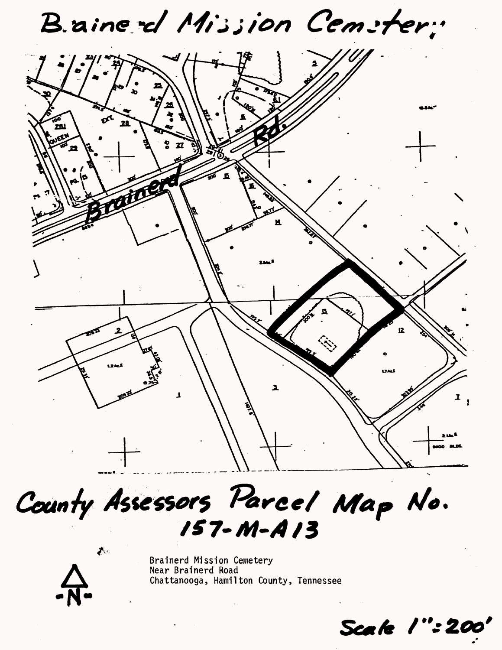B. aine d Mission Cemeter:



County Assessors Parcel Map No.  $157 - M - A13$ 



 $\mathcal{J}_{\mathcal{F}}$ 

Brainerd Mission Cemetery Near Brainerd Road Chattanooga, Hamilton County, Tennessee

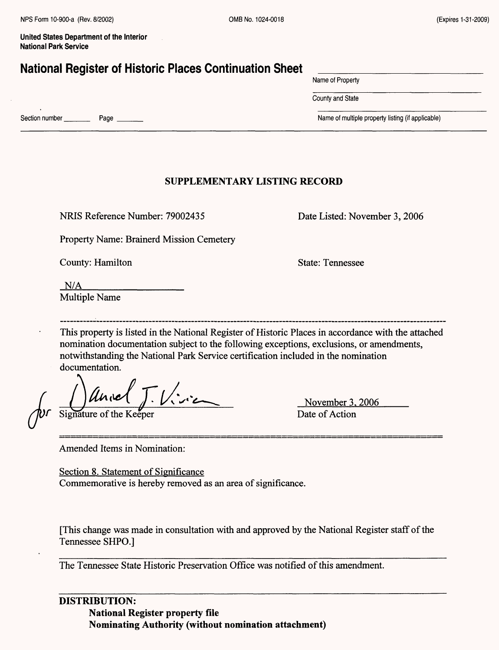### **National Register of Historic Places Continuation Sheet**

Name of Property

County and State

Section number Page  $\frac{1}{2}$  Page  $\frac{1}{2}$  Page  $\frac{1}{2}$  Page  $\frac{1}{2}$  Page  $\frac{1}{2}$  Page  $\frac{1}{2}$  Page  $\frac{1}{2}$  Page  $\frac{1}{2}$  Page  $\frac{1}{2}$  Page  $\frac{1}{2}$  Page  $\frac{1}{2}$  Page  $\frac{1}{2}$  Page  $\frac{1}{2}$  Page  $\frac{1}{2$ 

### **SUPPLEMENTARY LISTING RECORD**

NRIS Reference Number: 79002435

Property Name: Brainerd Mission Cemetery

County: Hamilton

State: Tennessee

Date Listed: November 3, 2006

 $N/A$ Multiple Name

This property is listed in the National Register of Historic Places in accordance with the attached nomination documentation subject to the following exceptions, exclusions, or amendments, notwithstanding the National Park Service certification included in the nomination documentation.

Signature of the Keeper Date of Action

November 3. 2006

Amended Items in Nomination:

Section 8. Statement of Significance Commemorative is hereby removed as an area of significance.

[This change was made in consultation with and approved by the National Register staff of the Tennessee SHPO.]

The Tennessee State Historic Preservation Office was notified of this amendment.

**DISTRIBUTION: National Register property file Nominating Authority (without nomination attachment)**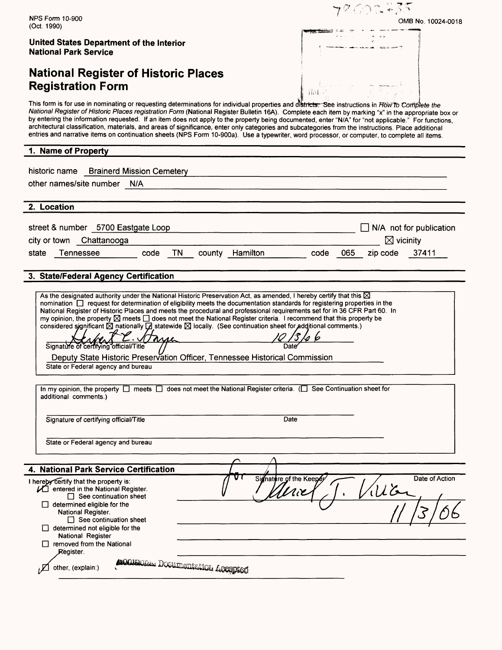$\mathscr{Q}$  and  $\mathscr{Q}$ NPS Form 10-900 OMB No. 10024-0018 (Oct. 1990) **United States Department of the Interior National Park Service National Register of Historic Places Registration Form** 713 L This form is for use in nominating or requesting determinations for individual properties and districts: See instructions in Flow to Complete the National Register of Historic Places registration Form (National Register Bulletin 16A). Complete each item by marking "x" in the appropriate box or by entering the information requested. If an item does not apply to the property being documented, enter "N/A" for "not applicable." For functions, architectural classification, materials, and areas of significance, enter only categories and subcategories from the instructions. Place additional entries and narrative items on continuation sheets (NPS Form 10-900a). Use a typewriter, word processor, or computer, to complete all items. **1. Name of Property** historic name Brainerd Mission Cemetery other names/site number N/A **2. Location** street & number 5700 Eastgate Loop  $\Box$  N/A not for publication city or town Chattanooga  $\boxtimes$  vicinity state Tennessee code TN county Hamilton code 065 zip code 37411 **3. State/Federal Agency Certification** As the designated authority under the National Historic Preservation Act, as amended, I hereby certify that this  $\boxtimes$ nomination  $\square$  request for determination of eligibility meets the documentation standards for registering properties in the National Register of Historic Places and meets the procedural and professional requirements set for in 36 CFR Part 60. In my opinion, the property  $\boxtimes$  meets  $\Box$  does not meet the National Register criteria. I recommend that this property be considered significant  $\boxtimes$  nationally  $\Box$  statewide  $\boxtimes$  locally. (See continuation sheet for additional comments.) Signature of certifying official/Title // Date Deputy State Historic Preservation Officer, Tennessee Historical Commission State or Federal agency and bureau In my opinion, the property  $\square$  meets  $\square$  does not meet the National Register criteria.  $\square$  See Continuation sheet for additional comments.) Signature of certifying official/Title Date State or Federal agency and bureau **4. National Park Service Certification** Signature of the Kee Date of Action I hereby certify that the property is:  $\sqrt{2}$  entered in the National Register. فالمرا  $\Box$  See continuation sheet  $\Box$  determined eligible for the National Register.  $\Box$  See continuation sheet  $\Box$  determined not eligible for the National Register  $\Box$  removed from the National Register. ACCIGNOMENT DOCUMEntENCOL ACCEPTED  $j$  Other, (explain:)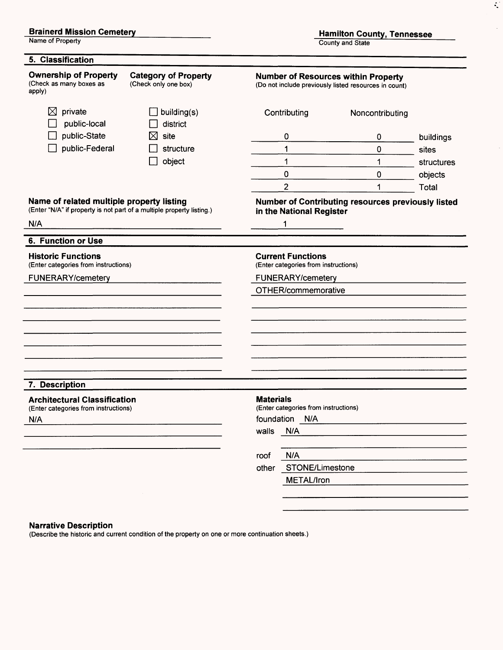#### **Brainerd Mission Cemetery**

Name of Property

**Hamilton County, Tennessee**

 $\mathcal{L}$ 

 $\mathbf{r}$ 

County and State

| <b>Ownership of Property</b><br>(Check as many boxes as<br>apply)                             | <b>Category of Property</b><br>(Check only one box)                   |                                                                  | <b>Number of Resources within Property</b><br>(Do not include previously listed resources in count) |            |
|-----------------------------------------------------------------------------------------------|-----------------------------------------------------------------------|------------------------------------------------------------------|-----------------------------------------------------------------------------------------------------|------------|
| private<br>⊠<br>public-local                                                                  | building(s)<br>district                                               | Contributing                                                     | Noncontributing                                                                                     |            |
| public-State                                                                                  | site<br>⋈                                                             | 0                                                                | 0                                                                                                   | buildings  |
| public-Federal                                                                                | structure                                                             | 1                                                                | $\mathbf 0$                                                                                         | sites      |
|                                                                                               | object                                                                | 1                                                                | 1                                                                                                   | structures |
|                                                                                               |                                                                       | 0                                                                | 0                                                                                                   | objects    |
|                                                                                               |                                                                       | $\overline{2}$                                                   | 1                                                                                                   | Total      |
| Name of related multiple property listing                                                     | (Enter "N/A" if property is not part of a multiple property listing.) | in the National Register                                         | <b>Number of Contributing resources previously listed</b>                                           |            |
| N/A                                                                                           |                                                                       | 1                                                                |                                                                                                     |            |
| 6. Function or Use                                                                            |                                                                       |                                                                  |                                                                                                     |            |
| <b>Historic Functions</b><br>(Enter categories from instructions)                             |                                                                       | <b>Current Functions</b><br>(Enter categories from instructions) |                                                                                                     |            |
| <b>FUNERARY/cemetery</b>                                                                      |                                                                       | <b>FUNERARY/cemetery</b>                                         |                                                                                                     |            |
|                                                                                               |                                                                       | OTHER/commemorative                                              |                                                                                                     |            |
|                                                                                               |                                                                       |                                                                  |                                                                                                     |            |
|                                                                                               |                                                                       |                                                                  |                                                                                                     |            |
|                                                                                               |                                                                       |                                                                  |                                                                                                     |            |
|                                                                                               |                                                                       |                                                                  |                                                                                                     |            |
|                                                                                               |                                                                       |                                                                  |                                                                                                     |            |
| 7. Description<br><b>Architectural Classification</b><br>(Enter categories from instructions) |                                                                       | <b>Materials</b><br>(Enter categories from instructions)         |                                                                                                     |            |
|                                                                                               |                                                                       | foundation<br>N/A                                                |                                                                                                     |            |
|                                                                                               |                                                                       | N/A<br>walls                                                     |                                                                                                     |            |
|                                                                                               |                                                                       |                                                                  |                                                                                                     |            |
| N/A                                                                                           |                                                                       | N/A<br>roof<br>STONE/Limestone<br>other                          |                                                                                                     |            |

#### **Narrative Description**

(Describe the historic and current condition of the property on one or more continuation sheets.)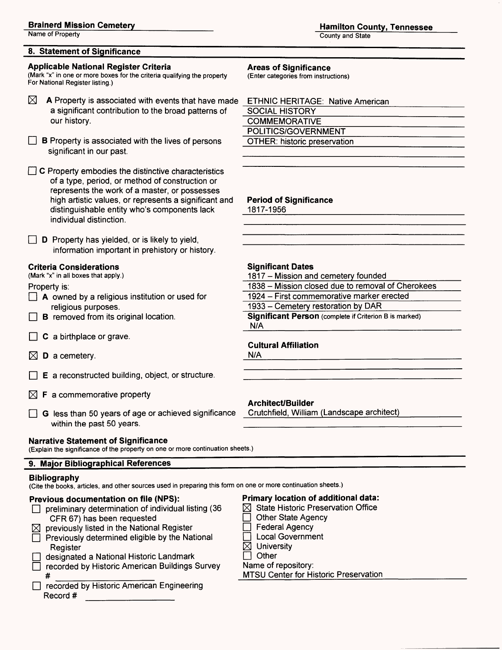#### **Brainerd Mission Cemetery**

Name of Property

#### **8. Statement of Significance**

#### **Applicable National Register Criteria**

(Mark "x" in one or more boxes for the criteria qualifying the property For National Register listing.)

- М A Property is associated with events that have made a significant contribution to the broad patterns of our history.
- $\Box$  B Property is associated with the lives of persons significant in our past.

 $\Box$  C Property embodies the distinctive characteristics of a type, period, or method of construction or represents the work of a master, or possesses high artistic values, or represents a significant and distinguishable entity who's components lack individual distinction.

 $\Box$  **D** Property has yielded, or is likely to yield, information important in prehistory or history.

#### **Criteria Considerations**

(Mark "x" in all boxes that apply.)

Property is:

- $\Box$  A owned by a religious institution or used for religious purposes.
- $\Box$  **B** removed from its original location.
- $\Box$  C a birthplace or grave.
- $\boxtimes$  D a cemetery.
- $\Box$  **E** a reconstructed building, object, or structure.
- $\boxtimes$  **F** a commemorative property
- $\Box$  G less than 50 years of age or achieved significance within the past 50 years.

#### **Narrative Statement of Significance**

(Explain the significance of the property on one or more continuation sheets.)

#### **9. Major Bibliographical References**

#### **Bibliography**

(Cite the books, articles, and other sources used in preparing this form on one or more continuation sheets.)

#### **Previous documentation on file (NPS):**

- $\Box$  preliminary determination of individual listing (36 CFR 67) has been requested
- previously listed in the National Register
- $\Box$  Previously determined eligible by the National **Register**
- designated a National Historic Landmark
- $\Box$  recorded by Historic American Buildings Survey # \_\_\_\_\_\_\_\_\_\_\_\_\_\_
- D recorded by Historic American Engineering Record #

#### **Areas of Significance**

(Enter categories from instructions)

| <b>ETHNIC HERITAGE: Native American</b> |  |
|-----------------------------------------|--|
| SOCIAL HISTORY                          |  |
| <b>COMMEMORATIVE</b>                    |  |
| POLITICS/GOVERNMENT                     |  |
| <b>OTHER: historic preservation</b>     |  |
|                                         |  |

#### **Period of Significance**

1817-1956

#### **Significant Dates**

1817 - Mission and cemetery founded

- 1838 Mission closed due to removal of Cherokees
- 1924 First commemorative marker erected\_\_\_\_\_
- 1933 Cemetery restoration by DAR

**Significant Person** (complete if Criterion B is marked) N/A

#### **Cultural Affiliation**

N/A

#### **Architect/Builder**

Crutchfield, William (Landscape architect)

- **Primary location of additional data:**
- $\boxtimes$  State Historic Preservation Office
	- **Other State Agency**
- **Federal Agency**
- □ Local Government<br>⊠ Universitv
- **University**
- $\Box$  Other

#### Name of repository:

MTSU Center for Historic Preservation

**Hamilton County, Tennessee** County and State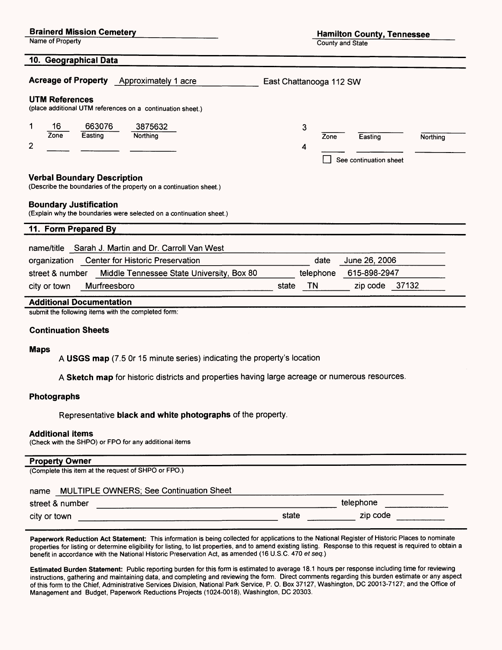|  | <b>Brainerd Mission Cemetery</b> |
|--|----------------------------------|
|  |                                  |

Name of Property

County and State

| 10. Geographical Data                                                                                                                                                                                            |                                                                 |
|------------------------------------------------------------------------------------------------------------------------------------------------------------------------------------------------------------------|-----------------------------------------------------------------|
| Acreage of Property Approximately 1 acre                                                                                                                                                                         | East Chattanooga 112 SW                                         |
| <b>UTM References</b><br>(place additional UTM references on a continuation sheet.)                                                                                                                              |                                                                 |
| 16<br>663076<br>1<br>3875632<br>Zone<br>Easting<br>Northing<br>2                                                                                                                                                 | 3<br>Zone<br>Easting<br>Northing<br>4<br>See continuation sheet |
| <b>Verbal Boundary Description</b><br>(Describe the boundaries of the property on a continuation sheet.)<br><b>Boundary Justification</b><br>(Explain why the boundaries were selected on a continuation sheet.) |                                                                 |
| 11. Form Prepared By                                                                                                                                                                                             |                                                                 |
| name/title Sarah J. Martin and Dr. Carroll Van West<br><b>Center for Historic Preservation</b><br>organization<br>Middle Tennessee State University, Box 80<br>street & number                                   | June 26, 2006<br>date<br>615-898-2947<br>telephone              |
| Murfreesboro<br>city or town                                                                                                                                                                                     | 37132<br>TN<br>state<br>zip code                                |
|                                                                                                                                                                                                                  |                                                                 |
| <b>Additional Documentation</b>                                                                                                                                                                                  |                                                                 |
| submit the following items with the completed form:                                                                                                                                                              |                                                                 |

#### **Continuation Sheets**

#### **Maps**

**A USGS map** (7.5 Or 15 minute series) indicating the property's location

**A Sketch map** for historic districts and properties having large acreage or numerous resources.

#### **Photographs**

Representative **black and white photographs** of the property.

#### **Additional items**

(Check with the SHPO) or FPO for any additional items

**Property Owner\_\_\_\_\_\_\_\_\_\_\_\_\_\_\_\_\_\_\_\_\_\_\_\_\_\_\_\_\_\_\_\_\_\_\_\_\_\_\_\_\_\_\_\_\_\_\_\_** (Complete this item at the request of SHPO or FPO.)

#### name MULTIPLE OWNERS; See Continuation Sheet

| street & number |       | telephone |
|-----------------|-------|-----------|
| city or town    | state | zip code  |

**Paperwork Reduction Act Statement:** This information is being collected for applications to the National Register of Historic Places to nominate properties for listing or determine eligibility for listing, to list properties, and to amend existing listing. Response to this request is required to obtain a benefit in accordance with the National Historic Preservation Act, as amended (16 U.S.C. 470 et seq.)

**Estimated Burden Statement:** Public reporting burden for this form is estimated to average 18.1 hours per response including time for reviewing instructions, gathering and maintaining data, and completing and reviewing the form. Direct comments regarding this burden estimate or any aspect of this form to the Chief, Administrative Services Division, National Park Service, P. O. Box 37127, Washington, DC 20013-7127; and the Office of Management and Budget, Paperwork Reductions Projects (1024-0018), Washington, DC 20303.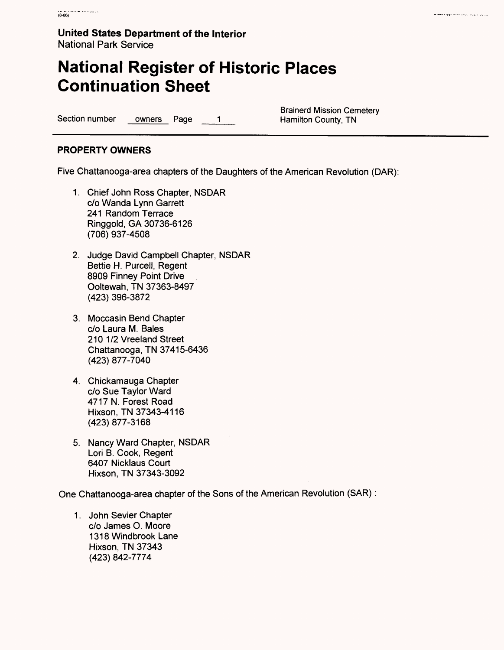# **National Register of Historic Places Continuation Sheet**

Section number owners Page 1 Hamilton County, TN

Brainerd Mission Cemetery

writer representation court out of

### **PROPERTY OWNERS**

Five Chattanooga-area chapters of the Daughters of the American Revolution (DAR):

- 1. Chief John Ross Chapter, NSDAR c/o Wanda Lynn Garrett 241 Random Terrace Ringgold.GA 30736-6126 (706) 937-4508
- 2. Judge David Campbell Chapter, NSDAR Bettie H. Purcell, Regent 8909 Finney Point Drive Ooltewah, TN 37363-8497 (423) 396-3872
- 3. Moccasin Bend Chapter c/o Laura M. Bales 210 1/2 Vreeland Street Chattanooga, TN 37415-6436 (423) 877-7040
- 4. Chickamauga Chapter c/o Sue Taylor Ward 4717 N. Forest Road Hixson, TN 37343-4116 (423)877-3168
- 5. Nancy Ward Chapter, NSDAR Lori B. Cook, Regent 6407 Nicklaus Court Hixson, TN 37343-3092

One Chattanooga-area chapter of the Sons of the American Revolution (SAR):

1. John Sevier Chapter c/o James O. Moore 1318 Windbrook Lane Hixson, TN 37343 (423) 842-7774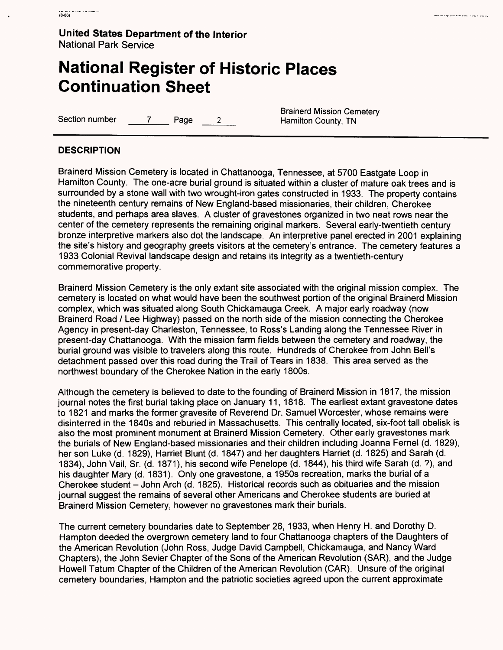# **National Register of Historic Places Continuation Sheet**

Section number 7 Page 2 Hamilton County, TN

Brainerd Mission Cemetery

#### **DESCRIPTION**

Brainerd Mission Cemetery is located in Chattanooga, Tennessee, at 5700 Eastgate Loop in Hamilton County. The one-acre burial ground is situated within a cluster of mature oak trees and is surrounded by a stone wall with two wrought-iron gates constructed in 1933. The property contains the nineteenth century remains of New England-based missionaries, their children, Cherokee students, and perhaps area slaves. A cluster of gravestones organized in two neat rows near the center of the cemetery represents the remaining original markers. Several early-twentieth century bronze interpretive markers also dot the landscape. An interpretive panel erected in 2001 explaining the site's history and geography greets visitors at the cemetery's entrance. The cemetery features a 1933 Colonial Revival landscape design and retains its integrity as a twentieth-century commemorative property.

Brainerd Mission Cemetery is the only extant site associated with the original mission complex. The cemetery is located on what would have been the southwest portion of the original Brainerd Mission complex, which was situated along South Chickamauga Creek. A major early roadway (now Brainerd Road / Lee Highway) passed on the north side of the mission connecting the Cherokee Agency in present-day Charleston, Tennessee, to Ross's Landing along the Tennessee River in present-day Chattanooga. With the mission farm fields between the cemetery and roadway, the burial ground was visible to travelers along this route. Hundreds of Cherokee from John Bell's detachment passed over this road during the Trail of Tears in 1838. This area served as the northwest boundary of the Cherokee Nation in the early 1800s.

Although the cemetery is believed to date to the founding of Brainerd Mission in 1817, the mission journal notes the first burial taking place on January 11, 1818. The earliest extant gravestone dates to 1821 and marks the former gravesite of Reverend Dr. Samuel Worcester, whose remains were disinterred in the 1840s and reburied in Massachusetts. This centrally located, six-foot tall obelisk is also the most prominent monument at Brainerd Mission Cemetery. Other early gravestones mark the burials of New England-based missionaries and their children including Joanna Fernel (d. 1829), her son Luke (d. 1829), Harriet Blunt (d. 1847) and her daughters Harriet (d. 1825) and Sarah (d. 1834), John Vail, Sr. (d. 1871), his second wife Penelope (d. 1844), his third wife Sarah (d. ?), and his daughter Mary (d. 1831). Only one gravestone, a 1950s recreation, marks the burial of a Cherokee student - John Arch (d. 1825). Historical records such as obituaries and the mission journal suggest the remains of several other Americans and Cherokee students are buried at Brainerd Mission Cemetery, however no gravestones mark their burials.

The current cemetery boundaries date to September 26, 1933, when Henry H. and Dorothy D. Hampton deeded the overgrown cemetery land to four Chattanooga chapters of the Daughters of the American Revolution (John Ross, Judge David Campbell, Chickamauga, and Nancy Ward Chapters), the John Sevier Chapter of the Sons of the American Revolution (SAR), and the Judge Howell Tatum Chapter of the Children of the American Revolution (CAR). Unsure of the original cemetery boundaries, Hampton and the patriotic societies agreed upon the current approximate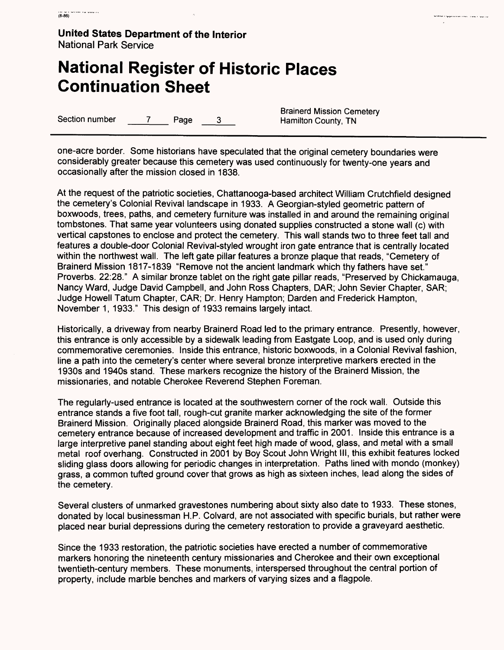# **National Register of Historic Places Continuation Sheet**

Section number 7 Page 3 Hamilton County, TN

Brainerd Mission Cemetery

.<br>The final participation of the contract of the contract of the contract of the contract of the contract of the

one-acre border. Some historians have speculated that the original cemetery boundaries were considerably greater because this cemetery was used continuously for twenty-one years and occasionally after the mission closed in 1838.

At the request of the patriotic societies, Chattanooga-based architect William Crutchfield designed the cemetery's Colonial Revival landscape in 1933. A Georgian-styled geometric pattern of boxwoods, trees, paths, and cemetery furniture was installed in and around the remaining original tombstones. That same year volunteers using donated supplies constructed a stone wall (c) with vertical capstones to enclose and protect the cemetery. This wall stands two to three feet tall and features a double-door Colonial Revival-styled wrought iron gate entrance that is centrally located within the northwest wall. The left gate pillar features a bronze plaque that reads, "Cemetery of Brainerd Mission 1817-1839 "Remove not the ancient landmark which thy fathers have set." Proverbs. 22:28." A similar bronze tablet on the right gate pillar reads, "Preserved by Chickamauga, Nancy Ward, Judge David Campbell, and John Ross Chapters, DAR; John Sevier Chapter, SAR; Judge Howell Tatum Chapter, CAR; Dr. Henry Hampton; Darden and Frederick Hampton, November 1, 1933." This design of 1933 remains largely intact.

Historically, a driveway from nearby Brainerd Road led to the primary entrance. Presently, however, this entrance is only accessible by a sidewalk leading from Eastgate Loop, and is used only during commemorative ceremonies. Inside this entrance, historic boxwoods, in a Colonial Revival fashion, line a path into the cemetery's center where several bronze interpretive markers erected in the 1930s and 1940s stand. These markers recognize the history of the Brainerd Mission, the missionaries, and notable Cherokee Reverend Stephen Foreman.

The regularly-used entrance is located at the southwestern corner of the rock wall. Outside this entrance stands a five foot tall, rough-cut granite marker acknowledging the site of the former Brainerd Mission. Originally placed alongside Brainerd Road, this marker was moved to the cemetery entrance because of increased development and traffic in 2001. Inside this entrance is a large interpretive panel standing about eight feet high made of wood, glass, and metal with a small metal roof overhang. Constructed in 2001 by Boy Scout John Wright III, this exhibit features locked sliding glass doors allowing for periodic changes in interpretation. Paths lined with mondo (monkey) grass, a common tufted ground cover that grows as high as sixteen inches, lead along the sides of the cemetery.

Several clusters of unmarked gravestones numbering about sixty also date to 1933. These stones, donated by local businessman H.P. Colvard, are not associated with specific burials, but rather were placed near burial depressions during the cemetery restoration to provide a graveyard aesthetic.

Since the 1933 restoration, the patriotic societies have erected a number of commemorative markers honoring the nineteenth century missionaries and Cherokee and their own exceptional twentieth-century members. These monuments, interspersed throughout the central portion of property, include marble benches and markers of varying sizes and a flagpole.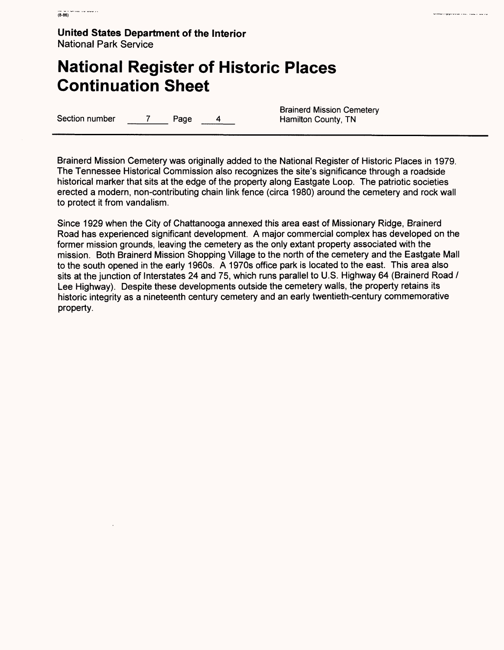### **National Register of Historic Places Continuation Sheet**

Brainerd Mission Cemetery Section number 7 Page 4 Hamilton County, TN

Brainerd Mission Cemetery was originally added to the National Register of Historic Places in 1979. The Tennessee Historical Commission also recognizes the site's significance through a roadside historical marker that sits at the edge of the property along Eastgate Loop. The patriotic societies erected a modern, non-contributing chain link fence (circa 1980) around the cemetery and rock wall to protect it from vandalism.

Since 1929 when the City of Chattanooga annexed this area east of Missionary Ridge, Brainerd Road has experienced significant development. A major commercial complex has developed on the former mission grounds, leaving the cemetery as the only extant property associated with the mission. Both Brainerd Mission Shopping Village to the north of the cemetery and the Eastgate Mall to the south opened in the early 1960s. A 1970s office park is located to the east. This area also sits at the junction of Interstates 24 and 75, which runs parallel to U.S. Highway 64 (Brainerd Road / Lee Highway). Despite these developments outside the cemetery walls, the property retains its historic integrity as a nineteenth century cemetery and an early twentieth-century commemorative property.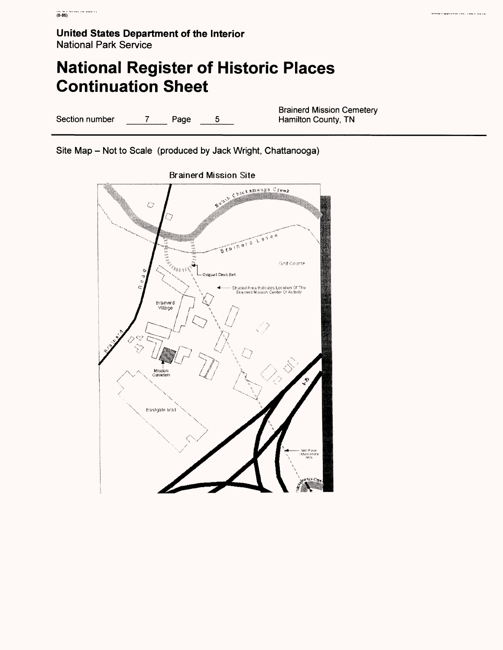# **National Register of Historic Places Continuation Sheet**

Section number  $\frac{7}{2}$  Page  $\frac{5}{2}$ 

Brainerd Mission Cemetery Hamilton County, TN

**Ciniu** reprovemento, cuale colle

Site Map - Not to Scale (produced by Jack Wright, Chattanooga)



Brainerd Mission Site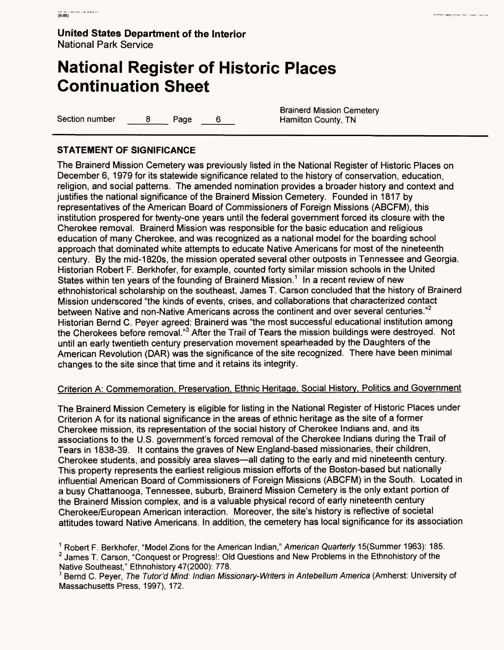# **National Register of Historic Places Continuation Sheet**

Section number  $\begin{array}{ccc} 8 & \text{Page} & 6 & \text{Hamilton County, TN} \end{array}$ 

Brainerd Mission Cemetery

internazionale della construccia dell'

### **STATEMENT OF SIGNIFICANCE**

The Brainerd Mission Cemetery was previously listed in the National Register of Historic Places on December 6, 1979 for its statewide significance related to the history of conservation, education, religion, and social patterns. The amended nomination provides a broader history and context and justifies the national significance of the Brainerd Mission Cemetery. Founded in 1817 by representatives of the American Board of Commissioners of Foreign Missions (ABCFM), this institution prospered for twenty-one years until the federal government forced its closure with the Cherokee removal. Brainerd Mission was responsible for the basic education and religious education of many Cherokee, and was recognized as a national model for the boarding school approach that dominated white attempts to educate Native Americans for most of the nineteenth century. By the mid-1820s, the mission operated several other outposts in Tennessee and Georgia. Historian Robert F. Berkhofer, for example, counted forty similar mission schools in the United States within ten years of the founding of Brainerd Mission.<sup>1</sup> In a recent review of new ethnohistorical scholarship on the southeast, James T. Carson concluded that the history of Brainerd Mission underscored "the kinds of events, crises, and collaborations that characterized contact between Native and non-Native Americans across the continent and over several centuries."<sup>2</sup> Historian Bernd C. Peyer agreed: Brainerd was "the most successful educational institution among the Cherokees before removal."3 After the Trail of Tears the mission buildings were destroyed. Not until an early twentieth century preservation movement spearheaded by the Daughters of the American Revolution (DAR) was the significance of the site recognized. There have been minimal changes to the site since that time and it retains its integrity.

### Criterion A: Commemoration. Preservation. Ethnic Heritage. Social History. Politics and Government

The Brainerd Mission Cemetery is eligible for listing in the National Register of Historic Places under Criterion A for its national significance in the areas of ethnic heritage as the site of a former Cherokee mission, its representation of the social history of Cherokee Indians and, and its associations to the U.S. government's forced removal of the Cherokee Indians during the Trail of Tears in 1838-39. It contains the graves of New England-based missionaries, their children, Cherokee students, and possibly area slaves—all dating to the early and mid nineteenth century. This property represents the earliest religious mission efforts of the Boston-based but nationally influential American Board of Commissioners of Foreign Missions (ABCFM) in the South. Located in a busy Chattanooga, Tennessee, suburb, Brainerd Mission Cemetery is the only extant portion of the Brainerd Mission complex, and is a valuable physical record of early nineteenth century Cherokee/European American interaction. Moreover, the site's history is reflective of societal attitudes toward Native Americans. In addition, the cemetery has local significance for its association

<sup>&</sup>lt;sup>1</sup> Robert F. Berkhofer, "Model Zions for the American Indian," American Quarterly 15(Summer 1963): 185.  $<sup>2</sup>$  James T. Carson, "Conquest or Progress!: Old Questions and New Problems in the Ethnohistory of the</sup> Native Southeast," Ethnohistory 47(2000): 778.

<sup>&</sup>lt;sup>3</sup> Bernd C. Peyer, The Tutor'd Mind: Indian Missionary-Writers in Antebellum America (Amherst: University of Massachusetts Press, 1997), 172.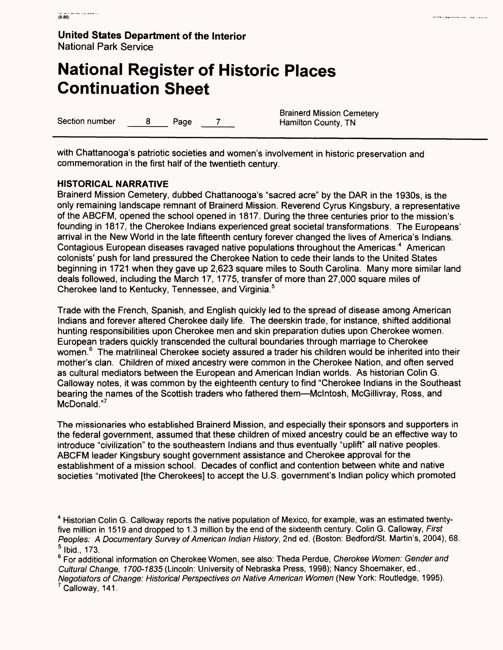# **National Register of Historic Places Continuation Sheet**

Section number  $\qquad \qquad 8$  Page 7

Brainerd Mission Cemetery<br>Hamilton County, TN

with Chattanooga's patriotic societies and women's involvement in historic preservation and commemoration in the first half of the twentieth century.

### **HISTORICAL NARRATIVE**

Brainerd Mission Cemetery, dubbed Chattanooga's "sacred acre" by the DAR in the 1930s, is the only remaining landscape remnant of Brainerd Mission. Reverend Cyrus Kingsbury, a representative of the ABCFM, opened the school opened in 1817. During the three centuries prior to the mission's founding in 1817, the Cherokee Indians experienced great societal transformations. The Europeans' arrival in the New World in the late fifteenth century forever changed the lives of America's Indians. Contagious European diseases ravaged native populations throughout the Americas.<sup>4</sup> American colonists' push for land pressured the Cherokee Nation to cede their lands to the United States beginning in 1721 when they gave up 2,623 square miles to South Carolina. Many more similar land deals followed, including the March 17, 1775, transfer of more than 27,000 square miles of Cherokee land to Kentucky, Tennessee, and Virginia. <sup>5</sup>

Trade with the French, Spanish, and English quickly led to the spread of disease among American Indians and forever altered Cherokee daily life. The deerskin trade, for instance, shifted additional hunting responsibilities upon Cherokee men and skin preparation duties upon Cherokee women. European traders quickly transcended the cultural boundaries through marriage to Cherokee women.<sup>6</sup> The matrilineal Cherokee society assured a trader his children would be inherited into their mother's clan. Children of mixed ancestry were common in the Cherokee Nation, and often served as cultural mediators between the European and American Indian worlds. As historian Colin G. Galloway notes, it was common by the eighteenth century to find "Cherokee Indians in the Southeast bearing the names of the Scottish traders who fathered them—Mclntosh, McGillivray, Ross, and McDonald."<sup>7</sup>

The missionaries who established Brainerd Mission, and especially their sponsors and supporters in the federal government, assumed that these children of mixed ancestry could be an effective way to introduce "civilization" to the southeastern Indians and thus eventually "uplift" all native peoples. ABCFM leader Kingsbury sought government assistance and Cherokee approval for the establishment of a mission school. Decades of conflict and contention between white and native societies "motivated [the Cherokees] to accept the U.S. government's Indian policy which promoted

Calloway, 141.

<sup>4</sup> Historian Colin G. Galloway reports the native population of Mexico, for example, was an estimated twentyfive million in 1519 and dropped to 1.3 million by the end of the sixteenth century. Colin G. Galloway, First Peoples: A Documentary Survey of American Indian History, 2nd ed. (Boston: Bedford/St. Martin's, 2004), 68. 5 Ibid., 173.

<sup>&</sup>lt;sup>6</sup> For additional information on Cherokee Women, see also: Theda Perdue, Cherokee Women: Gender and Cultural Change, 1700-1835 (Lincoln: University of Nebraska Press, 1998); Nancy Shoemaker, ed., Negotiators of Change: Historical Perspectives on Native American Women (New York: Routledge, 1995).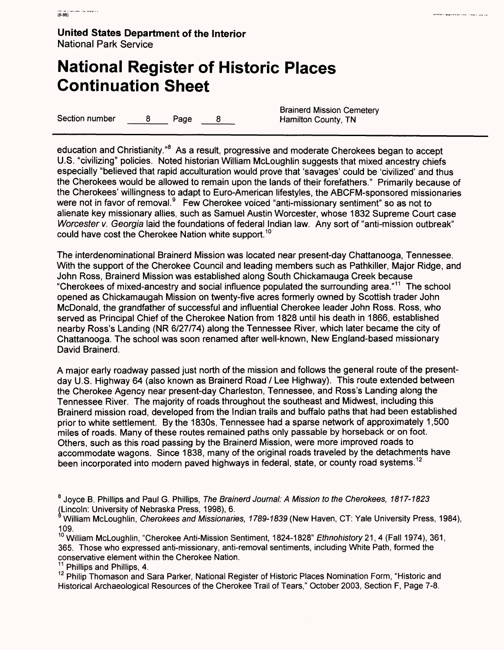# **National Register of Historic Places Continuation Sheet**

Section number 8 Page 8 Hamilton County, TN

Brainerd Mission Cemetery

education and Christianity."<sup>8</sup> As a result, progressive and moderate Cherokees began to accept U.S. "civilizing" policies. Noted historian William McLoughlin suggests that mixed ancestry chiefs especially "believed that rapid acculturation would prove that 'savages' could be 'civilized' and thus the Cherokees would be allowed to remain upon the lands of their forefathers." Primarily because of the Cherokees' willingness to adapt to Euro-American lifestyles, the ABCFM-sponsored missionaries were not in favor of removal.<sup>9</sup> Few Cherokee voiced "anti-missionary sentiment" so as not to alienate key missionary allies, such as Samuel Austin Worcester, whose 1832 Supreme Court case Worcester v. Georgia laid the foundations of federal Indian law. Any sort of "anti-mission outbreak" could have cost the Cherokee Nation white support.<sup>10</sup>

The interdenominational Brainerd Mission was located near present-day Chattanooga, Tennessee. With the support of the Cherokee Council and leading members such as Pathkiller, Major Ridge, and John Ross, Brainerd Mission was established along South Chickamauga Creek because "Cherokees of mixed-ancestry and social influence populated the surrounding area." 11 The school opened as Chickamaugah Mission on twenty-five acres formerly owned by Scottish trader John McDonald, the grandfather of successful and influential Cherokee leader John Ross. Ross, who served as Principal Chief of the Cherokee Nation from 1828 until his death in 1866, established nearby Ross's Landing (NR 6/27/74) along the Tennessee River, which later became the city of Chattanooga. The school was soon renamed after well-known, New England-based missionary David Brainerd.

A major early roadway passed just north of the mission and follows the general route of the presentday U.S. Highway 64 (also known as Brainerd Road / Lee Highway). This route extended between the Cherokee Agency near present-day Charleston, Tennessee, and Ross's Landing along the Tennessee River. The majority of roads throughout the southeast and Midwest, including this Brainerd mission road, developed from the Indian trails and buffalo paths that had been established prior to white settlement. By the 1830s, Tennessee had a sparse network of approximately 1,500 miles of roads. Many of these routes remained paths only passable by horseback or on foot. Others, such as this road passing by the Brainerd Mission, were more improved roads to accommodate wagons. Since 1838, many of the original roads traveled by the detachments have been incorporated into modern paved highways in federal, state, or county road systems.<sup>12</sup>

<sup>&</sup>lt;sup>8</sup> Joyce B. Phillips and Paul G. Phillips, The Brainerd Journal: A Mission to the Cherokees, 1817-1823 (Lincoln: University of Nebraska Press, 1998), 6.

<sup>&</sup>lt;sup>9</sup> William McLoughlin, Cherokees and Missionaries, 1789-1839 (New Haven, CT: Yale University Press, 1984), 109.

<sup>&</sup>lt;sup>10</sup> William McLoughlin, "Cherokee Anti-Mission Sentiment, 1824-1828" Ethnohistory 21, 4 (Fall 1974), 361, 365. Those who expressed anti-missionary, anti-removal sentiments, including White Path, formed the conservative element within the Cherokee Nation.

Phillips and Phillips, 4.

<sup>&</sup>lt;sup>12</sup> Philip Thomason and Sara Parker, National Register of Historic Places Nomination Form, "Historic and Historical Archaeological Resources of the Cherokee Trail of Tears," October 2003, Section F, Page 7-8.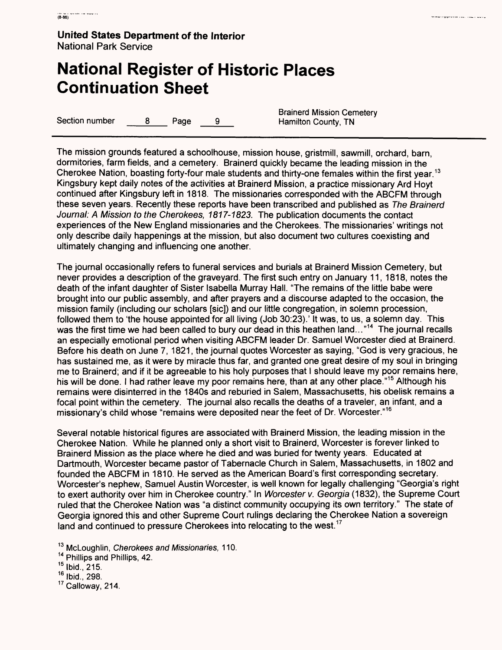### **National Register of Historic Places Continuation Sheet**

Section number a B Page 9 B Hamilton County, TN

Brainerd Mission Cemetery

The mission grounds featured a schoolhouse, mission house, gristmill, sawmill, orchard, barn, dormitories, farm fields, and a cemetery. Brainerd quickly became the leading mission in the Cherokee Nation, boasting forty-four male students and thirty-one females within the first year.<sup>13</sup> Kingsbury kept daily notes of the activities at Brainerd Mission, a practice missionary Ard Hoyt continued after Kingsbury left in 1818. The missionaries corresponded with the ABCFM through these seven years. Recently these reports have been transcribed and published as The Brainerd Journal: A Mission to the Cherokees, 1817-1823. The publication documents the contact experiences of the New England missionaries and the Cherokees. The missionaries' writings not only describe daily happenings at the mission, but also document two cultures coexisting and ultimately changing and influencing one another.

The journal occasionally refers to funeral services and burials at Brainerd Mission Cemetery, but never provides a description of the graveyard. The first such entry on January 11, 1818, notes the death of the infant daughter of Sister Isabella Murray Hall. "The remains of the little babe were brought into our public assembly, and after prayers and a discourse adapted to the occasion, the mission family (including our scholars [sic]) and our little congregation, in solemn procession, followed them to 'the house appointed for all living (Job 30:23).' It was, to us, a solemn day. This was the first time we had been called to bury our dead in this heathen land..."<sup>14</sup> The journal recalls an especially emotional period when visiting ABCFM leader Dr. Samuel Worcester died at Brainerd. Before his death on June 7, 1821, the journal quotes Worcester as saying, "God is very gracious, he has sustained me, as it were by miracle thus far, and granted one great desire of my soul in bringing me to Brainerd; and if it be agreeable to his holy purposes that I should leave my poor remains here, his will be done. I had rather leave my poor remains here, than at any other place."<sup>15</sup> Although his remains were disinterred in the 1840s and reburied in Salem, Massachusetts, his obelisk remains a focal point within the cemetery. The journal also recalls the deaths of a traveler, an infant, and a missionary's child whose "remains were deposited near the feet of Dr. Worcester." <sup>16</sup>

Several notable historical figures are associated with Brainerd Mission, the leading mission in the Cherokee Nation. While he planned only a short visit to Brainerd, Worcester is forever linked to Brainerd Mission as the place where he died and was buried for twenty years. Educated at Dartmouth, Worcester became pastor of Tabernacle Church in Salem, Massachusetts, in 1802 and founded the ABCFM in 1810. He served as the American Board's first corresponding secretary. Worcester's nephew, Samuel Austin Worcester, is well known for legally challenging "Georgia's right to exert authority over him in Cherokee country." In Worcester v. Georgia (1832), the Supreme Court ruled that the Cherokee Nation was "a distinct community occupying its own territory." The state of Georgia ignored this and other Supreme Court rulings declaring the Cherokee Nation a sovereign land and continued to pressure Cherokees into relocating to the west.<sup>17</sup>

<sup>13</sup> McLoughlin, Cherokees and Missionaries, 110.

14 Phillips and Phillips, 42.

15 Ibid., 215.

16 Ibid., 298.

17 Galloway, 214.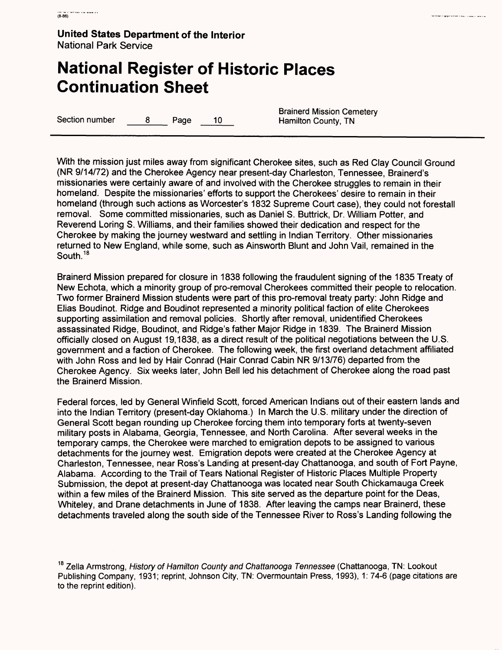# **National Register of Historic Places Continuation Sheet**

Section number a B Page 10 Hamilton County, TN

Brainerd Mission Cemetery

With the mission just miles away from significant Cherokee sites, such as Red Clay Council Ground (NR 9/14/72) and the Cherokee Agency near present-day Charleston, Tennessee, Brainerd's missionaries were certainly aware of and involved with the Cherokee struggles to remain in their homeland. Despite the missionaries' efforts to support the Cherokees' desire to remain in their homeland (through such actions as Worcester's 1832 Supreme Court case), they could not forestall removal. Some committed missionaries, such as Daniel S. Buttrick, Dr. William Potter, and Reverend Loring S. Williams, and their families showed their dedication and respect for the Cherokee by making the journey westward and settling in Indian Territory. Other missionaries returned to New England, while some, such as Ainsworth Blunt and John Vail, remained in the South.<sup>18</sup>

Brainerd Mission prepared for closure in 1838 following the fraudulent signing of the 1835 Treaty of New Echota, which a minority group of pro-removal Cherokees committed their people to relocation. Two former Brainerd Mission students were part of this pro-removal treaty party: John Ridge and Elias Boudinot. Ridge and Boudinot represented a minority political faction of elite Cherokees supporting assimilation and removal policies. Shortly after removal, unidentified Cherokees assassinated Ridge, Boudinot, and Ridge's father Major Ridge in 1839. The Brainerd Mission officially closed on August 19,1838, as a direct result of the political negotiations between the U.S. government and a faction of Cherokee. The following week, the first overland detachment affiliated with John Ross and led by Hair Conrad (Hair Conrad Cabin NR 9/13/76) departed from the Cherokee Agency. Six weeks later, John Bell led his detachment of Cherokee along the road past the Brainerd Mission.

Federal forces, led by General Winfield Scott, forced American Indians out of their eastern lands and into the Indian Territory (present-day Oklahoma.) In March the U.S. military under the direction of General Scott began rounding up Cherokee forcing them into temporary forts at twenty-seven military posts in Alabama, Georgia, Tennessee, and North Carolina. After several weeks in the temporary camps, the Cherokee were marched to emigration depots to be assigned to various detachments for the journey west. Emigration depots were created at the Cherokee Agency at Charleston, Tennessee, near Ross's Landing at present-day Chattanooga, and south of Fort Payne, Alabama. According to the Trail of Tears National Register of Historic Places Multiple Property Submission, the depot at present-day Chattanooga was located near South Chickamauga Creek within a few miles of the Brainerd Mission. This site served as the departure point for the Deas, Whiteley, and Drane detachments in June of 1838. After leaving the camps near Brainerd, these detachments traveled along the south side of the Tennessee River to Ross's Landing following the

<sup>&</sup>lt;sup>18</sup> Zella Armstrong, History of Hamilton County and Chattanooga Tennessee (Chattanooga, TN: Lookout Publishing Company, 1931; reprint, Johnson City, TN: Overmountain Press, 1993), 1: 74-6 (page citations are to the reprint edition).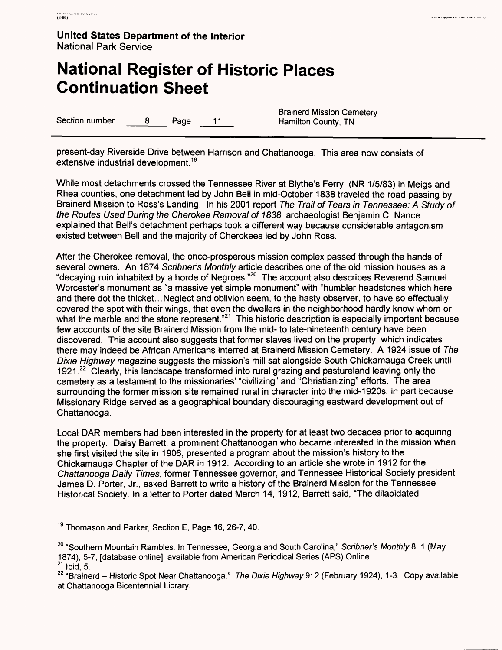# **National Register of Historic Places Continuation Sheet**

Section number  $\qquad \qquad 8$  Page 11 Hamilton County, TN

Brainerd Mission Cemetery

present-day Riverside Drive between Harrison and Chattanooga. This area now consists of extensive industrial development.<sup>19</sup>

While most detachments crossed the Tennessee River at Blythe's Ferry (NR 1/5/83) in Meigs and Rhea counties, one detachment led by John Bell in mid-October 1838 traveled the road passing by Brainerd Mission to Ross's Landing. In his 2001 report The Trail of Tears in Tennessee: A Study of the Routes Used During the Cherokee Removal of 1838, archaeologist Benjamin C. Nance explained that Bell's detachment perhaps took a different way because considerable antagonism existed between Bell and the majority of Cherokees led by John Ross.

After the Cherokee removal, the once-prosperous mission complex passed through the hands of several owners. An 1874 Scribner's Monthly article describes one of the old mission houses as a "decaying ruin inhabited by a horde of Negroes."20 The account also describes Reverend Samuel Worcester's monument as "a massive yet simple monument" with "humbler headstones which here and there dot the thicket...Neglect and oblivion seem, to the hasty observer, to have so effectually covered the spot with their wings, that even the dwellers in the neighborhood hardly know whom or what the marble and the stone represent."<sup>21</sup> This historic description is especially important because few accounts of the site Brainerd Mission from the mid- to late-nineteenth century have been discovered. This account also suggests that former slaves lived on the property, which indicates there may indeed be African Americans interred at Brainerd Mission Cemetery. A 1924 issue of The Dixie Highway magazine suggests the mission's mill sat alongside South Chickamauga Creek until 1921.<sup>22</sup> Clearly, this landscape transformed into rural grazing and pastureland leaving only the cemetery as a testament to the missionaries' "civilizing" and "Christianizing" efforts. The area surrounding the former mission site remained rural in character into the mid-1920s, in part because Missionary Ridge served as a geographical boundary discouraging eastward development out of Chattanooga.

Local DAR members had been interested in the property for at least two decades prior to acquiring the property. Daisy Barrett, a prominent Chattanoogan who became interested in the mission when she first visited the site in 1906, presented a program about the mission's history to the Chickamauga Chapter of the DAR in 1912. According to an article she wrote in 1912 for the Chattanooga Daily Times, former Tennessee governor, and Tennessee Historical Society president, James D. Porter, Jr., asked Barrett to write a history of the Brainerd Mission for the Tennessee Historical Society. In a letter to Porter dated March 14, 1912, Barrett said, "The dilapidated

<sup>19</sup> Thomason and Parker, Section E, Page 16, 26-7, 40.

<sup>&</sup>lt;sup>20</sup> "Southern Mountain Rambles: In Tennessee, Georgia and South Carolina," Scribner's Monthly 8: 1 (May 1874), 5-7, [database online]; available from American Periodical Series (APS) Online. <sup>21</sup> Ibid, 5.

<sup>&</sup>lt;sup>22</sup> "Brainerd – Historic Spot Near Chattanooga," The Dixie Highway 9: 2 (February 1924), 1-3. Copy available at Chattanooga Bicentennial Library.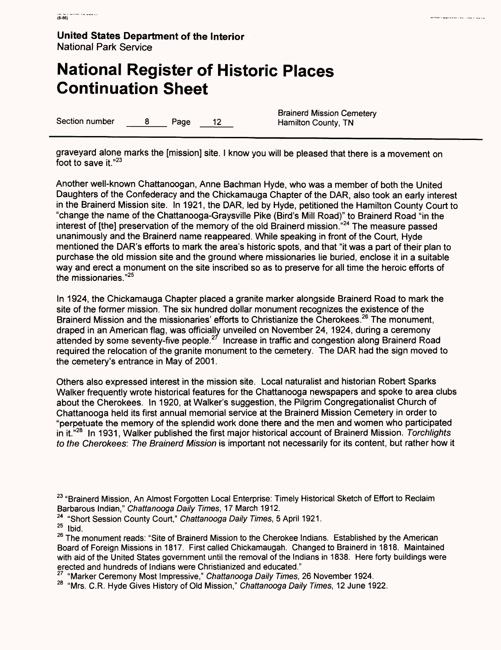# **National Register of Historic Places Continuation Sheet**

Section number 8 Page 12 Hamilton County, TN

Brainerd Mission Cemetery

.<br>Mappi kasas sauti suuri luusi.

graveyard alone marks the [mission] site. I know you will be pleased that there is a movement on foot to save it."<sup>23</sup>

Another well-known Chattanoogan, Anne Bachman Hyde, who was a member of both the United Daughters of the Confederacy and the Chickamauga Chapter of the DAR, also took an early interest in the Brainerd Mission site. In 1921, the DAR, led by Hyde, petitioned the Hamilton County Court to "change the name of the Chattanooga-Graysville Pike (Bird's Mill Road)" to Brainerd Road "in the interest of [the] preservation of the memory of the old Brainerd mission."24 The measure passed unanimously and the Brainerd name reappeared. While speaking in front of the Court, Hyde mentioned the DAR's efforts to mark the area's historic spots, and that "it was a part of their plan to purchase the old mission site and the ground where missionaries lie buried, enclose it in a suitable way and erect a monument on the site inscribed so as to preserve for all time the heroic efforts of the missionaries."25

In 1924, the Chickamauga Chapter placed a granite marker alongside Brainerd Road to mark the site of the former mission. The six hundred dollar monument recognizes the existence of the Brainerd Mission and the missionaries' efforts to Christianize the Cherokees.<sup>26</sup> The monument, draped in an American flag, was officially unveiled on November 24, 1924, during a ceremony attended by some seventy-five people. $2^7$  Increase in traffic and congestion along Brainerd Road required the relocation of the granite monument to the cemetery. The DAR had the sign moved to the cemetery's entrance in May of 2001.

Others also expressed interest in the mission site. Local naturalist and historian Robert Sparks Walker frequently wrote historical features for the Chattanooga newspapers and spoke to area clubs about the Cherokees. In 1920, at Walker's suggestion, the Pilgrim Congregationalist Church of Chattanooga held its first annual memorial service at the Brainerd Mission Cemetery in order to "perpetuate the memory of the splendid work done there and the men and women who participated in it."<sup>28</sup> In 1931, Walker published the first major historical account of Brainerd Mission. Torchlights to the Cherokees: The Brainerd Mission is important not necessarily for its content, but rather how it

<sup>24</sup> "Short Session County Court," Chattanooga Daily Times, 5 April 1921.<br><sup>25</sup> Ibid.

<sup>&</sup>lt;sup>23</sup> "Brainerd Mission, An Almost Forgotten Local Enterprise: Timely Historical Sketch of Effort to Reclaim Barbarous Indian," Chattanooga Daily Times, 17 March 1912.

<sup>&</sup>lt;sup>26</sup> The monument reads: "Site of Brainerd Mission to the Cherokee Indians. Established by the American Board of Foreign Missions in 1817. First called Chickamaugah. Changed to Brainerd in 1818. Maintained with aid of the United States government until the removal of the Indians in 1838. Here forty buildings were erected and hundreds of Indians were Christianized and educated."

 $\frac{27}{10}$  "Marker Ceremony Most Impressive," Chattanooga Daily Times, 26 November 1924.

<sup>&</sup>lt;sup>28</sup> "Mrs. C.R. Hyde Gives History of Old Mission," Chattanooga Daily Times, 12 June 1922.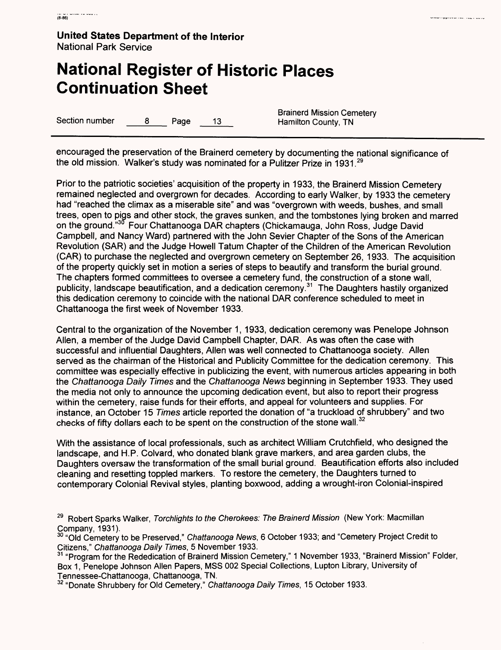# **National Register of Historic Places Continuation Sheet**

Section number 8 Page 13 Hamilton County, TN

Brainerd Mission Cemetery

i<br>Presenta e apopular de la caracción de la contradición de la caracción de la caracción de la caracción de la c

encouraged the preservation of the Brainerd cemetery by documenting the national significance of the old mission. Walker's study was nominated for a Pulitzer Prize in 1931.<sup>29</sup>

Prior to the patriotic societies' acquisition of the property in 1933, the Brainerd Mission Cemetery remained neglected and overgrown for decades. According to early Walker, by 1933 the cemetery had "reached the climax as a miserable site" and was "overgrown with weeds, bushes, and small trees, open to pigs and other stock, the graves sunken, and the tombstones lying broken and marred on the ground."<sup>30</sup> Four Chattanooga DAR chapters (Chickamauga, John Ross, Judge David Campbell, and Nancy Ward) partnered with the John Sevier Chapter of the Sons of the American Revolution (SAR) and the Judge Howell Tatum Chapter of the Children of the American Revolution (CAR) to purchase the neglected and overgrown cemetery on September 26, 1933. The acquisition of the property quickly set in motion a series of steps to beautify and transform the burial ground. The chapters formed committees to oversee a cemetery fund, the construction of a stone wall, publicity, landscape beautification, and a dedication ceremony. 31 The Daughters hastily organized this dedication ceremony to coincide with the national DAR conference scheduled to meet in Chattanooga the first week of November 1933.

Central to the organization of the November 1, 1933, dedication ceremony was Penelope Johnson Alien, a member of the Judge David Campbell Chapter, DAR. As was often the case with successful and influential Daughters, Alien was well connected to Chattanooga society. Alien served as the chairman of the Historical and Publicity Committee for the dedication ceremony. This committee was especially effective in publicizing the event, with numerous articles appearing in both the Chattanooga Daily Times and the Chattanooga News beginning in September 1933. They used the media not only to announce the upcoming dedication event, but also to report their progress within the cemetery, raise funds for their efforts, and appeal for volunteers and supplies. For instance, an October 15 Times article reported the donation of "a truckload of shrubbery" and two checks of fifty dollars each to be spent on the construction of the stone wall.  $32$ 

With the assistance of local professionals, such as architect William Crutchfield, who designed the landscape, and H.P. Colvard, who donated blank grave markers, and area garden clubs, the Daughters oversaw the transformation of the small burial ground. Beautification efforts also included cleaning and resetting toppled markers. To restore the cemetery, the Daughters turned to contemporary Colonial Revival styles, planting boxwood, adding a wrought-iron Colonial-inspired

<sup>&</sup>lt;sup>29</sup> Robert Sparks Walker, Torchlights to the Cherokees: The Brainerd Mission (New York: Macmillan Company, 1931).

 $^{\rm 30}$  "Old Cemetery to be Preserved," *Chattanooga News*, 6 October 1933; and "Cemetery Project Credit to Citizens," Chattanooga Daily Times, 5 November 1933.

<sup>&</sup>lt;sup>31</sup> "Program for the Rededication of Brainerd Mission Cemetery," 1 November 1933, "Brainerd Mission" Folder, Box 1, Penelope Johnson Alien Papers, MSS 002 Special Collections, Lupton Library, University of Tennessee-Chattanooga, Chattanooga, TN.

<sup>&</sup>lt;sup>32</sup> "Donate Shrubbery for Old Cemetery," Chattanooga Daily Times, 15 October 1933.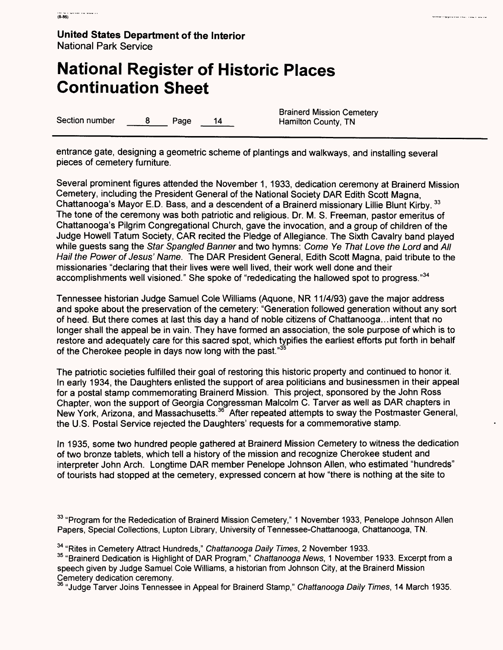### **National Register of Historic Places Continuation Sheet**

Section number 8 Page 14 Hamilton County, TN

Brainerd Mission Cemetery

entrance gate, designing a geometric scheme of plantings and walkways, and installing several pieces of cemetery furniture.

Several prominent figures attended the November 1, 1933, dedication ceremony at Brainerd Mission Cemetery, including the President General of the National Society DAR Edith Scott Magna, Chattanooga's Mayor E.D. Bass, and a descendent of a Brainerd missionary Lillie Blunt Kirby. <sup>33</sup> The tone of the ceremony was both patriotic and religious. Dr. M. S. Freeman, pastor emeritus of Chattanooga's Pilgrim Congregational Church, gave the invocation, and a group of children of the Judge Howell Tatum Society, CAR recited the Pledge of Allegiance. The Sixth Cavalry band played while guests sang the Star Spangled Banner and two hymns: Come Ye That Love the Lord and All Hail the Power of Jesus' Name. The DAR President General, Edith Scott Magna, paid tribute to the missionaries "declaring that their lives were well lived, their work well done and their accomplishments well visioned." She spoke of "rededicating the hallowed spot to progress."34

Tennessee historian Judge Samuel Cole Williams (Aquone, NR 11/4/93) gave the major address and spoke about the preservation of the cemetery: "Generation followed generation without any sort of heed. But there comes at last this day a hand of noble citizens of Chattanooga...intent that no longer shall the appeal be in vain. They have formed an association, the sole purpose of which is to restore and adequately care for this sacred spot, which typifies the earliest efforts put forth in behalf of the Cherokee people in days now long with the past."<sup>35</sup>

The patriotic societies fulfilled their goal of restoring this historic property and continued to honor it. In early 1934, the Daughters enlisted the support of area politicians and businessmen in their appeal for a postal stamp commemorating Brainerd Mission. This project, sponsored by the John Ross Chapter, won the support of Georgia Congressman Malcolm C. Tarver as well as DAR chapters in New York, Arizona, and Massachusetts. 36 After repeated attempts to sway the Postmaster General, the U.S. Postal Service rejected the Daughters' requests for a commemorative stamp.

In 1935, some two hundred people gathered at Brainerd Mission Cemetery to witness the dedication of two bronze tablets, which tell a history of the mission and recognize Cherokee student and interpreter John Arch. Longtime DAR member Penelope Johnson Alien, who estimated "hundreds" of tourists had stopped at the cemetery, expressed concern at how "there is nothing at the site to

<sup>33</sup> "Program for the Rededication of Brainerd Mission Cemetery," 1 November 1933, Penelope Johnson Allen Papers, Special Collections, Lupton Library, University of Tennessee-Chattanooga, Chattanooga, TN.

<sup>34</sup> "Rites in Cemetery Attract Hundreds," Chattanooga Daily Times, 2 November 1933.

<sup>35</sup> "Brainerd Dedication is Highlight of DAR Program," Chattanooga News, 1 November 1933. Excerpt from a speech given by Judge Samuel Cole Williams, a historian from Johnson City, at the Brainerd Mission Cemetery dedication ceremony.

36 "Judge Tarver Joins Tennessee in Appeal for Brainerd Stamp," Chattanooga Daily Times, 14 March 1935.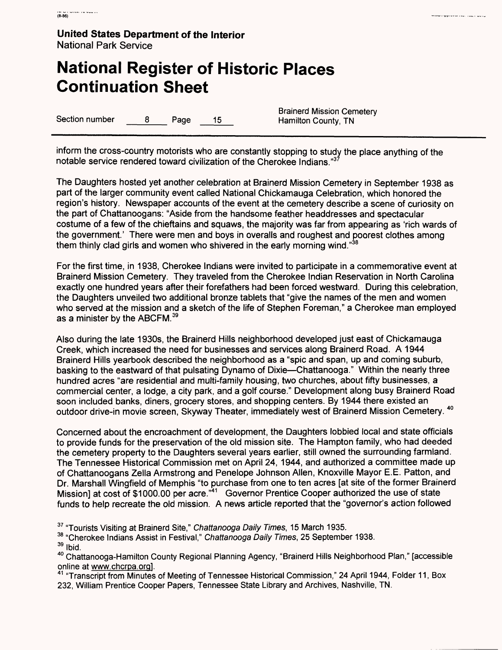### **National Register of Historic Places Continuation Sheet**

Section number  $\qquad \qquad 8$  Page 15 Hamilton County, TN

Brainerd Mission Cemetery

inform the cross-country motorists who are constantly stopping to study the place anything of the notable service rendered toward civilization of the Cherokee Indians."3

The Daughters hosted yet another celebration at Brainerd Mission Cemetery in September 1938 as part of the larger community event called National Chickamauga Celebration, which honored the region's history. Newspaper accounts of the event at the cemetery describe a scene of curiosity on the part of Chattanoogans: "Aside from the handsome feather headdresses and spectacular costume of a few of the chieftains and squaws, the majority was far from appearing as 'rich wards of the government.' There were men and boys in overalls and roughest and poorest clothes among them thinly clad girls and women who shivered in the early morning wind."<sup>38</sup>

For the first time, in 1938, Cherokee Indians were invited to participate in a commemorative event at Brainerd Mission Cemetery. They traveled from the Cherokee Indian Reservation in North Carolina exactly one hundred years after their forefathers had been forced westward. During this celebration, the Daughters unveiled two additional bronze tablets that "give the names of the men and women who served at the mission and a sketch of the life of Stephen Foreman," a Cherokee man employed as a minister by the ABCFM.<sup>39</sup>

Also during the late 1930s, the Brainerd Hills neighborhood developed just east of Chickamauga Creek, which increased the need for businesses and services along Brainerd Road. A 1944 Brainerd Hills yearbook described the neighborhood as a "spic and span, up and coming suburb, basking to the eastward of that pulsating Dynamo of Dixie—Chattanooga." Within the nearly three hundred acres "are residential and multi-family housing, two churches, about fifty businesses, a commercial center, a lodge, a city park, and a golf course." Development along busy Brainerd Road soon included banks, diners, grocery stores, and shopping centers. By 1944 there existed an outdoor drive-in movie screen, Skyway Theater, immediately west of Brainerd Mission Cemetery. <sup>40</sup>

Concerned about the encroachment of development, the Daughters lobbied local and state officials to provide funds for the preservation of the old mission site. The Hampton family, who had deeded the cemetery property to the Daughters several years earlier, still owned the surrounding farmland. The Tennessee Historical Commission met on April 24, 1944, and authorized a committee made up of Chattanoogans Zella Armstrong and Penelope Johnson Alien, Knoxville Mayor E.E. Patton, and Dr. Marshall Wingfield of Memphis "to purchase from one to ten acres [at site of the former Brainerd Mission] at cost of \$1000.00 per acre."<sup>41</sup> Governor Prentice Cooper authorized the use of state funds to help recreate the old mission. A news article reported that the "governor's action followed

<sup>37</sup> "Tourists Visiting at Brainerd Site," Chattanooga Daily Times, 15 March 1935.

38 "Cherokee Indians Assist in Festival," Chattanooga Daily Times, 25 September 1938.

39 Ibid.

40 Chattanooga-Hamilton County Regional Planning Agency, "Brainerd Hills Neighborhood Plan," [accessible online at www.chcrpa.org1.

<sup>41</sup> "Transcript from Minutes of Meeting of Tennessee Historical Commission," 24 April 1944, Folder 11, Box 232, William Prentice Cooper Papers, Tennessee State Library and Archives, Nashville, TN.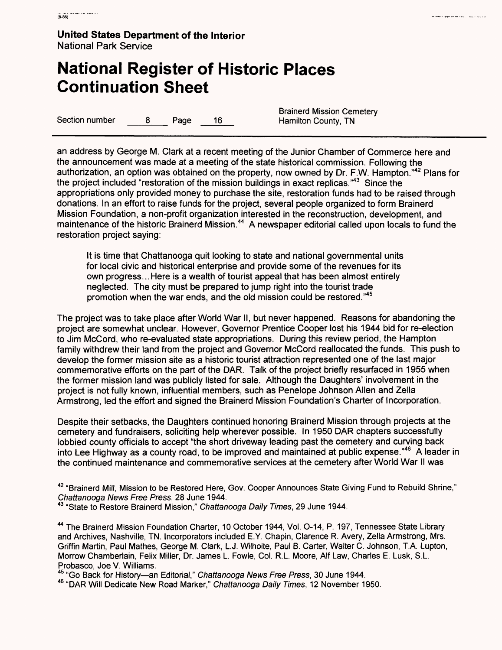### **National Register of Historic Places Continuation Sheet**

Section number a B Page 16 Hamilton County, TN

Brainerd Mission Cemetery

an address by George M. Clark at a recent meeting of the Junior Chamber of Commerce here and the announcement was made at a meeting of the state historical commission. Following the authorization, an option was obtained on the property, now owned by Dr. F.W. Hampton."42 Plans for the project included "restoration of the mission buildings in exact replicas."43 Since the appropriations only provided money to purchase the site, restoration funds had to be raised through donations. In an effort to raise funds for the project, several people organized to form Brainerd Mission Foundation, a non-profit organization interested in the reconstruction, development, and maintenance of the historic Brainerd Mission.<sup>44</sup> A newspaper editorial called upon locals to fund the restoration project saying:

It is time that Chattanooga quit looking to state and national governmental units for local civic and historical enterprise and provide some of the revenues for its own progress... Here is a wealth of tourist appeal that has been almost entirely neglected. The city must be prepared to jump right into the tourist trade promotion when the war ends, and the old mission could be restored."45

The project was to take place after World War II, but never happened. Reasons for abandoning the project are somewhat unclear. However, Governor Prentice Cooper lost his 1944 bid for re-election to Jim McCord, who re-evaluated state appropriations. During this review period, the Hampton family withdrew their land from the project and Governor McCord reallocated the funds. This push to develop the former mission site as a historic tourist attraction represented one of the last major commemorative efforts on the part of the DAR. Talk of the project briefly resurfaced in 1955 when the former mission land was publicly listed for sale. Although the Daughters' involvement in the project is not fully known, influential members, such as Penelope Johnson Alien and Zella Armstrong, led the effort and signed the Brainerd Mission Foundation's Charter of Incorporation.

Despite their setbacks, the Daughters continued honoring Brainerd Mission through projects at the cemetery and fundraisers, soliciting help wherever possible. In 1950 DAR chapters successfully lobbied county officials to accept "the short driveway leading past the cemetery and curving back into Lee Highway as a county road, to be improved and maintained at public expense."<sup>46</sup> A leader in the continued maintenance and commemorative services at the cemetery after World War II was

42 "Brainerd Mill, Mission to be Restored Here, Gov. Cooper Announces State Giving Fund to Rebuild Shrine," Chattanooga News Free Press, 28 June 1944.

**<sup>43</sup>** "State to Restore Brainerd Mission," Chattanooga Daily Times, 29 June 1944.

44 The Brainerd Mission Foundation Charter, 10 October 1944, Vol. O-14, P. 197, Tennessee State Library and Archives, Nashville, TN. Incorporators included E.Y. Chapin, Clarence R. Avery, Zella Armstrong, Mrs. Griffin Martin, Paul Mathes, George M. Clark, L.J. Wilhoite, Paul B. Carter, Walter C. Johnson, T.A. Lupton, Morrow Chamberlain, Felix Miller, Dr. James L. Fowle, Col. R.L. Moore, Alf Law, Charles E. Lusk, S.L. Probasco, Joe V. Williams.

45 "Go Back for History—an Editorial," Chattanooga News Free Press, 30 June 1944.

46 "DAR Will Dedicate New Road Marker," Chattanooga Daily Times, 12 November 1950.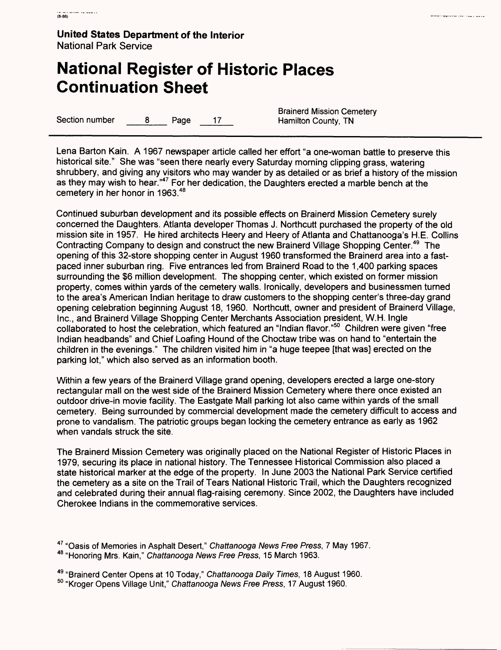### **National Register of Historic Places Continuation Sheet**

Section number 8 Page 17

**Brainerd Mission Cemetery<br>Hamilton County, TN** 

Lena Barton Kain. A 1967 newspaper article called her effort "a one-woman battle to preserve this historical site." She was "seen there nearly every Saturday morning clipping grass, watering shrubbery, and giving any visitors who may wander by as detailed or as brief a history of the mission as they may wish to hear."47 For her dedication, the Daughters erected a marble bench at the cemetery in her honor in 1963.<sup>48</sup>

Continued suburban development and its possible effects on Brainerd Mission Cemetery surely concerned the Daughters. Atlanta developer Thomas J. Northcutt purchased the property of the old mission site in 1957. He hired architects Heery and Heery of Atlanta and Chattanooga's H.E. Collins Contracting Company to design and construct the new Brainerd Village Shopping Center.<sup>49</sup> The opening of this 32-store shopping center in August 1960 transformed the Brainerd area into a fastpaced inner suburban ring. Five entrances led from Brainerd Road to the 1,400 parking spaces surrounding the \$6 million development. The shopping center, which existed on former mission property, comes within yards of the cemetery walls. Ironically, developers and businessmen turned to the area's American Indian heritage to draw customers to the shopping center's three-day grand opening celebration beginning August 18, 1960. Northcutt, owner and president of Brainerd Village, Inc., and Brainerd Village Shopping Center Merchants Association president, W.H. Ingle collaborated to host the celebration, which featured an "Indian flavor."50 Children were given "free Indian headbands" and Chief Loafing Hound of the Choctaw tribe was on hand to "entertain the children in the evenings." The children visited him in "a huge teepee [that was] erected on the parking lot," which also served as an information booth.

Within a few years of the Brainerd Village grand opening, developers erected a large one-story rectangular mall on the west side of the Brainerd Mission Cemetery where there once existed an outdoor drive-in movie facility. The Eastgate Mall parking lot also came within yards of the small cemetery. Being surrounded by commercial development made the cemetery difficult to access and prone to vandalism. The patriotic groups began locking the cemetery entrance as early as 1962 when vandals struck the site.

The Brainerd Mission Cemetery was originally placed on the National Register of Historic Places in 1979, securing its place in national history. The Tennessee Historical Commission also placed a state historical marker at the edge of the property. In June 2003 the National Park Service certified the cemetery as a site on the Trail of Tears National Historic Trail, which the Daughters recognized and celebrated during their annual flag-raising ceremony. Since 2002, the Daughters have included Cherokee Indians in the commemorative services.

<sup>&</sup>lt;sup>47</sup> "Oasis of Memories in Asphalt Desert," Chattanooga News Free Press, 7 May 1967.

<sup>48 &</sup>quot;Honoring Mrs. Kain," Chattanooga News Free Press, 15 March 1963.

<sup>49 &</sup>quot;Brainerd Center Opens at 10 Today," Chattanooga Daily Times, 18 August 1960.

<sup>&</sup>lt;sup>50</sup> "Kroger Opens Village Unit," Chattanooga News Free Press, 17 August 1960.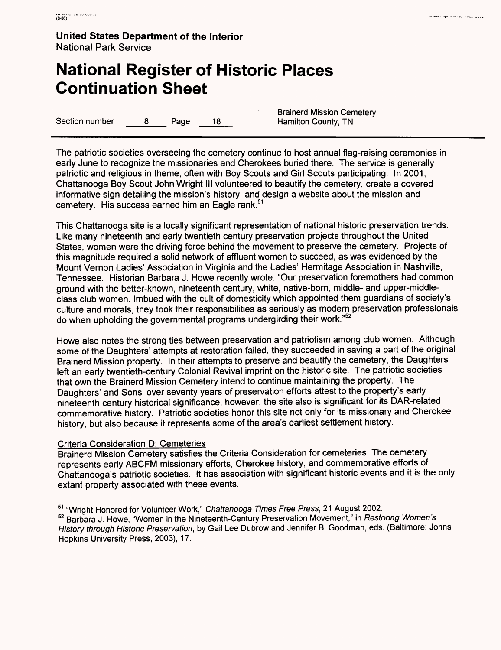# **National Register of Historic Places Continuation Sheet**

Section number 8 Page 18 Hamilton County, TN

Brainerd Mission Cemetery

ina representar for recipera

The patriotic societies overseeing the cemetery continue to host annual flag-raising ceremonies in early June to recognize the missionaries and Cherokees buried there. The service is generally patriotic and religious in theme, often with Boy Scouts and Girl Scouts participating. In 2001, Chattanooga Boy Scout John Wright III volunteered to beautify the cemetery, create a covered informative sign detailing the mission's history, and design a website about the mission and cemetery. His success earned him an Eagle rank.<sup>51</sup>

This Chattanooga site is a locally significant representation of national historic preservation trends. Like many nineteenth and early twentieth century preservation projects throughout the United States, women were the driving force behind the movement to preserve the cemetery. Projects of this magnitude required a solid network of affluent women to succeed, as was evidenced by the Mount Vernon Ladies' Association in Virginia and the Ladies' Hermitage Association in Nashville, Tennessee. Historian Barbara J. Howe recently wrote: "Our preservation foremothers had common ground with the better-known, nineteenth century, white, native-born, middle- and upper-middleclass club women. Imbued with the cult of domesticity which appointed them guardians of society's culture and morals, they took their responsibilities as seriously as modern preservation professionals do when upholding the governmental programs undergirding their work."52

Howe also notes the strong ties between preservation and patriotism among club women. Although some of the Daughters' attempts at restoration failed, they succeeded in saving a part of the original Brainerd Mission property. In their attempts to preserve and beautify the cemetery, the Daughters left an early twentieth-century Colonial Revival imprint on the historic site. The patriotic societies that own the Brainerd Mission Cemetery intend to continue maintaining the property. The Daughters' and Sons' over seventy years of preservation efforts attest to the property's early nineteenth century historical significance, however, the site also is significant for its DAR-related commemorative history. Patriotic societies honor this site not only for its missionary and Cherokee history, but also because it represents some of the area's earliest settlement history.

### Criteria Consideration D: Cemeteries

Brainerd Mission Cemetery satisfies the Criteria Consideration for cemeteries. The cemetery represents early ABCFM missionary efforts, Cherokee history, and commemorative efforts of Chattanooga's patriotic societies. It has association with significant historic events and it is the only extant property associated with these events.

<sup>51</sup> "Wright Honored for Volunteer Work," Chattanooga Times Free Press, 21 August 2002. 52 Barbara J. Howe, "Women in the Nineteenth-Century Preservation Movement," in Restoring Women's History through Historic Preservation, by Gail Lee Dubrow and Jennifer B. Goodman, eds. (Baltimore: Johns Hopkins University Press, 2003), 17.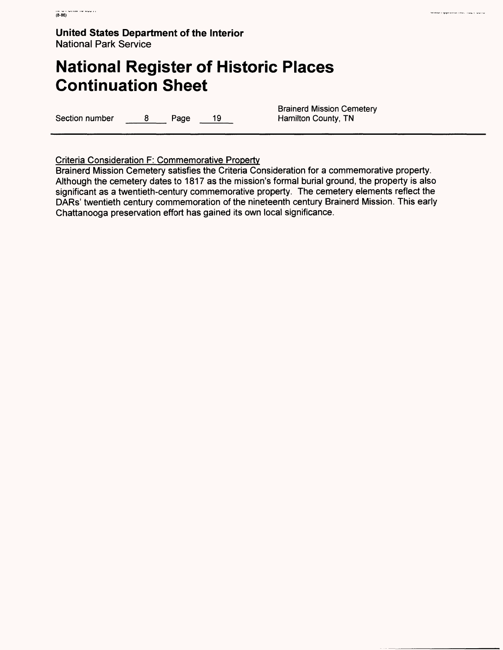# **National Register of Historic Places Continuation Sheet**

Section number 8 Page 19

**Brainerd Mission Cemetery Hamilton County, TN** 

uma ripprovarile, todi voro

Criteria Consideration F: Commemorative Property

Brainerd Mission Cemetery satisfies the Criteria Consideration for a commemorative property. Although the cemetery dates to 1817 as the mission's formal burial ground, the property is also significant as a twentieth-century commemorative property. The cemetery elements reflect the DARs' twentieth century commemoration of the nineteenth century Brainerd Mission. This early Chattanooga preservation effort has gained its own local significance.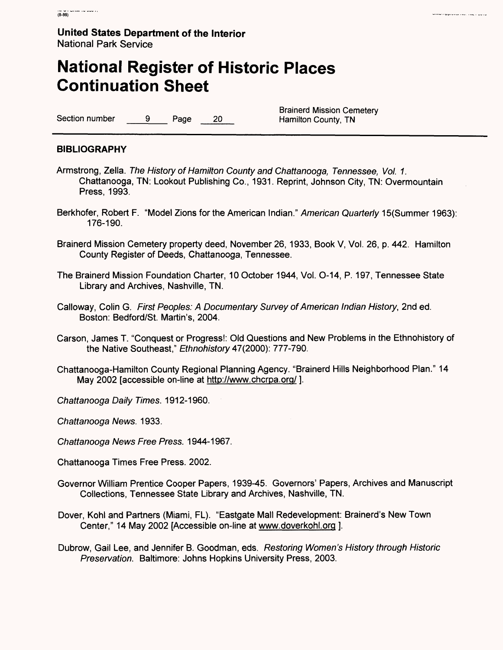# **National Register of Historic Places Continuation Sheet**

Section number 9 Page 20

Brainerd Mission Cemetery<br>Hamilton County, TN

#### **BIBLIOGRAPHY**

- Armstrong, Zella. The History of Hamilton County and Chattanooga, Tennessee, Vol. 1. Chattanooga, TN: Lookout Publishing Co., 1931. Reprint, Johnson City, TN: Overmountain Press, 1993.
- Berkhofer, Robert F. "Model Zions for the American Indian." American Quarterly 15(Summer 1963): 176-190.
- Brainerd Mission Cemetery property deed, November 26, 1933, Book V, Vol. 26, p. 442. Hamilton County Register of Deeds, Chattanooga, Tennessee.
- The Brainerd Mission Foundation Charter, 10 October 1944, Vol. O-14, P. 197, Tennessee State Library and Archives, Nashville, TN.
- Galloway, Colin G. First Peoples: A Documentary Survey of American Indian History, 2nd ed. Boston: Bedford/St. Martin's, 2004.
- Carson, James T. "Conquest or Progress!: Old Questions and New Problems in the Ethnohistory of the Native Southeast," Ethnohistory 47(2000): 777-790.
- Chattanooga-Hamilton County Regional Planning Agency. "Brainerd Hills Neighborhood Plan." 14 May 2002 [accessible on-line at http://www.chcrpa.org/ ].
- Chattanooga Daily Times. 1912-1960.

Chattanooga News. 1933.

- Chattanooga News Free Press. 1944-1967.
- Chattanooga Times Free Press. 2002.
- Governor William Prentice Cooper Papers, 1939-45. Governors' Papers, Archives and Manuscript Collections, Tennessee State Library and Archives, Nashville, TN.
- Dover, Kohl and Partners (Miami, FL). "Eastgate Mall Redevelopment: Brainerd's New Town Center," 14 May 2002 [Accessible on-line at www.doverkohl.org ].
- Dubrow, Gail Lee, and Jennifer B. Goodman, eds. Restoring Women's History through Historic Preservation. Baltimore: Johns Hopkins University Press, 2003.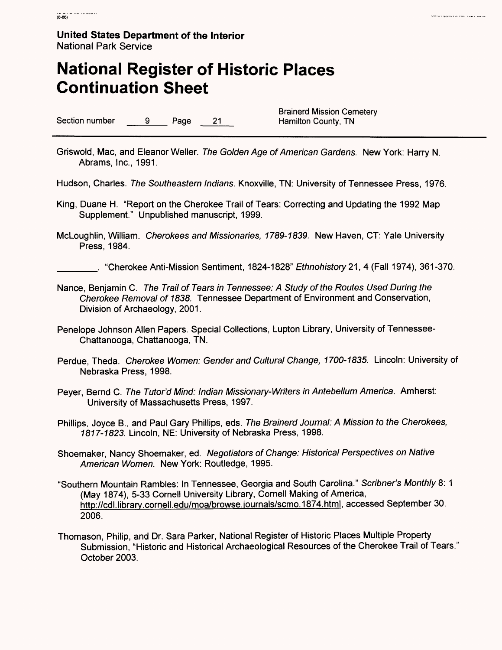# **National Register of Historic Places Continuation Sheet**

Section number 9 Page 21 Hamilton County, TN

Brainerd Mission Cemetery

i<br>Stanisla upprovede rase i og i sjore

- Griswold, Mac, and Eleanor Weller. The Golden Age of American Gardens. New York: Harry N. Abrams, Inc., 1991.
- Hudson, Charles. The Southeastern Indians. Knoxville, TN: University of Tennessee Press, 1976.
- King, Duane H. "Report on the Cherokee Trail of Tears: Correcting and Updating the 1992 Map Supplement." Unpublished manuscript, 1999.
- McLoughlin, William. Cherokees and Missionaries, 1789-1839. New Haven, CT: Yale University Press, 1984.

\_\_\_\_\_. "Cherokee Anti-Mission Sentiment, 1824-1828" Ethnohistory 21, 4 (Fall 1974), 361-370.

- Nance, Benjamin C. The Trail of Tears in Tennessee: A Study of the Routes Used During the Cherokee Removal of 1838. Tennessee Department of Environment and Conservation, Division of Archaeology, 2001.
- Penelope Johnson Alien Papers. Special Collections, Lupton Library, University of Tennessee-Chattanooga, Chattanooga, TN.
- Perdue, Theda. Cherokee Women: Gender and Cultural Change, 1700-1835. Lincoln: University of Nebraska Press, 1998.
- Peyer, Bernd C. The Tutor'd Mind: Indian Missionary-Writers in Antebellum America. Amherst: University of Massachusetts Press, 1997.
- Phillips, Joyce B., and Paul Gary Phillips, eds. The Brainerd Journal: A Mission to the Cherokees, 1817-1823. Lincoln, NE: University of Nebraska Press, 1998.
- Shoemaker, Nancy Shoemaker, ed. Negotiators of Change: Historical Perspectives on Native American Women. New York: Routledge, 1995.
- "Southern Mountain Rambles: In Tennessee, Georgia and South Carolina." Scribner's Monthly 8: 1 (May 1874), 5-33 Cornell University Library, Cornell Making of America, http://cdl.library.cornell.edu/moa/browse.journals/scmo.1874.html, accessed September 30. 2006.
- Thomason, Philip, and Dr. Sara Parker, National Register of Historic Places Multiple Property Submission, "Historic and Historical Archaeological Resources of the Cherokee Trail of Tears." October 2003.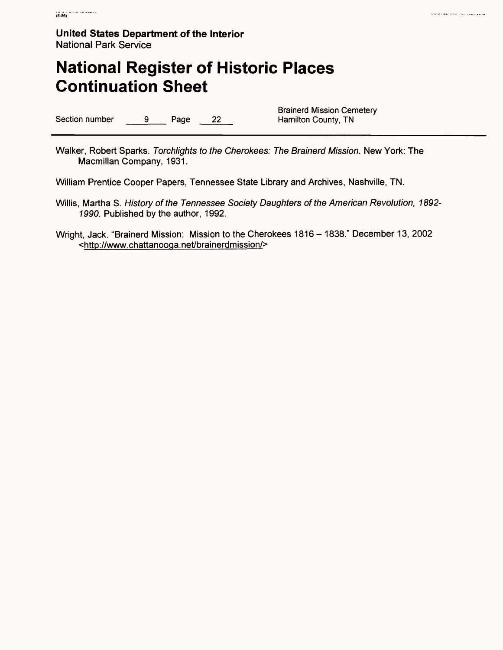# **National Register of Historic Places Continuation Sheet**

Section number 9 Page 22

Brainerd Mission Cemetery<br>Hamilton County, TN

wind represented to a control of

Walker, Robert Sparks. Torchlights to the Cherokees: The Brainerd Mission. New York: The Macmillan Company, 1931.

William Prentice Cooper Papers, Tennessee State Library and Archives, Nashville, TN.

- Willis, Martha S. History of the Tennessee Society Daughters of the American Revolution, 1892- 1990. Published by the author, 1992.
- Wright, Jack. "Brainerd Mission: Mission to the Cherokees 1816 1838." December 13, 2002 <http://www.chattanooga.net/brainerdmission/>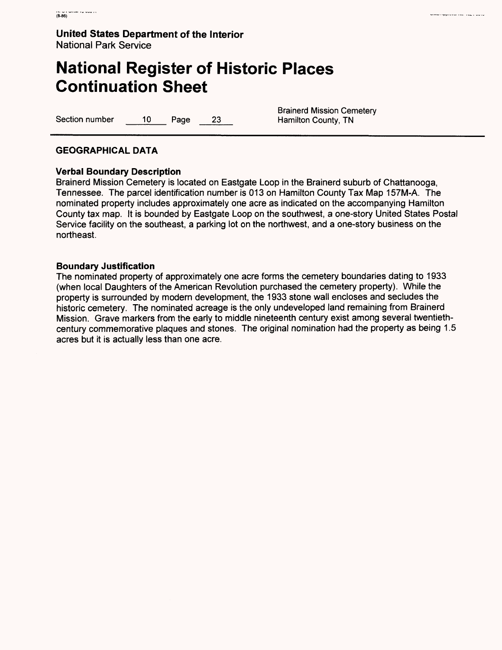# **National Register of Historic Places Continuation Sheet**

Section number 10 Page 23 Hamilton County, TN

Brainerd Mission Cemetery

ina ng provinsi sa sala boro

#### **GEOGRAPHICAL DATA**

#### **Verbal Boundary Description**

Brainerd Mission Cemetery is located on Eastgate Loop in the Brainerd suburb of Chattanooga, Tennessee. The parcel identification number is 013 on Hamilton County Tax Map 157M-A. The nominated property includes approximately one acre as indicated on the accompanying Hamilton County tax map. It is bounded by Eastgate Loop on the southwest, a one-story United States Postal Service facility on the southeast, a parking lot on the northwest, and a one-story business on the northeast.

#### **Boundary Justification**

The nominated property of approximately one acre forms the cemetery boundaries dating to 1933 (when local Daughters of the American Revolution purchased the cemetery property). While the property is surrounded by modern development, the 1933 stone wall encloses and secludes the historic cemetery. The nominated acreage is the only undeveloped land remaining from Brainerd Mission. Grave markers from the early to middle nineteenth century exist among several twentiethcentury commemorative plaques and stones. The original nomination had the property as being 1.5 acres but it is actually less than one acre.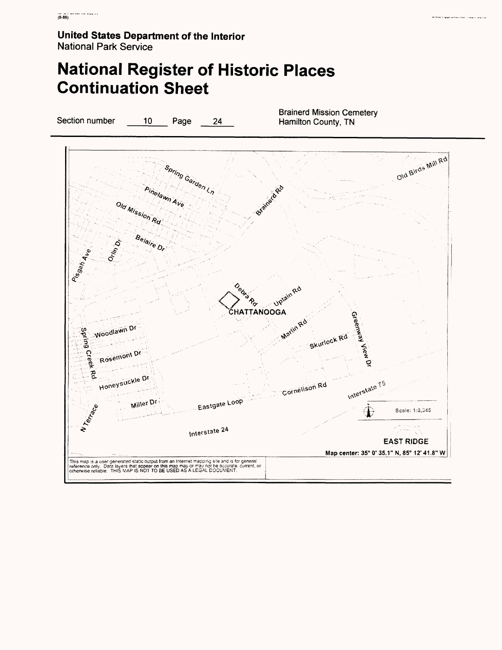# **National Register of Historic Places Continuation Sheet**

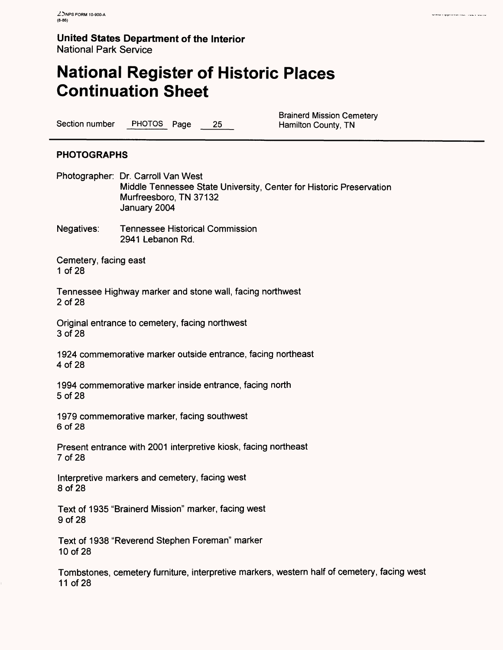# **National Register of Historic Places Continuation Sheet**

Section number PHOTOS Page 25 Hamilton County, TN

Brainerd Mission Cemetery

#### **PHOTOGRAPHS**

Photographer: Dr. Carroll Van West Middle Tennessee State University, Center for Historic Preservation Murfreesboro, TN 37132 January 2004

Negatives: Tennessee Historical Commission 2941 Lebanon Rd.

Cemetery, facing east 1 of 28

Tennessee Highway marker and stone wall, facing northwest 2 of 28

Original entrance to cemetery, facing northwest 3 of 28

1924 commemorative marker outside entrance, facing northeast 4 of 28

1994 commemorative marker inside entrance, facing north 5 of 28

1979 commemorative marker, facing southwest 6 of 28

Present entrance with 2001 interpretive kiosk, facing northeast 7 of 28

Interpretive markers and cemetery, facing west 8 of 28

Text of 1935 "Brainerd Mission" marker, facing west 9 of 28

Text of 1938 "Reverend Stephen Foreman" marker 10 of 28

Tombstones, cemetery furniture, interpretive markers, western half of cemetery, facing west 11 of 28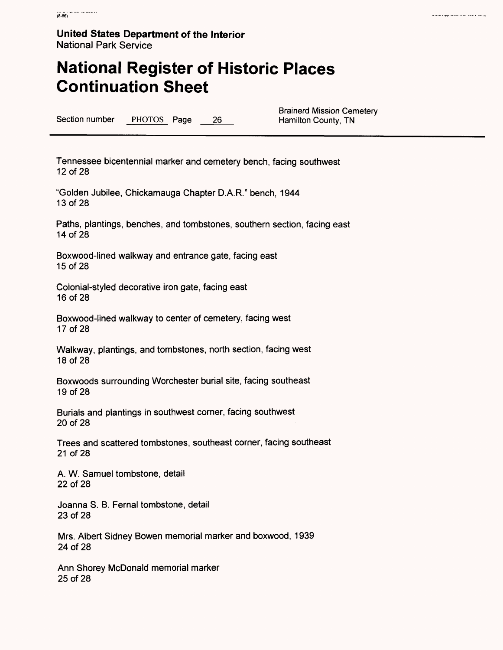### **National Register of Historic Places Continuation Sheet**

Section number PHOTOS Page 26

**Brainerd Mission Cemetery<br>Hamilton County, TN** 

Tennessee bicentennial marker and cemetery bench, facing southwest 12 of 28

"Golden Jubilee, Chickamauga Chapter D.A.R." bench, 1944 13 of 28

Paths, plantings, benches, and tombstones, southern section, facing east 14 of 28

Boxwood-lined walkway and entrance gate, facing east 15 of 28

Colonial-styled decorative iron gate, facing east 16 of 28

Boxwood-lined walkway to center of cemetery, facing west 17 of 28

Walkway, plantings, and tombstones, north section, facing west 18 of 28

Boxwoods surrounding Worchester burial site, facing southeast 19 of 28

Burials and plantings in southwest corner, facing southwest 20 of 28

Trees and scattered tombstones, southeast corner, facing southeast 21 of 28

A. W. Samuel tombstone, detail 22 of 28

Joanna S. B. Fernal tombstone, detail 23 of 28

Mrs. Albert Sidney Bowen memorial marker and boxwood, 1939 24 of 28

Ann Shorey McDonald memorial marker 25 of 28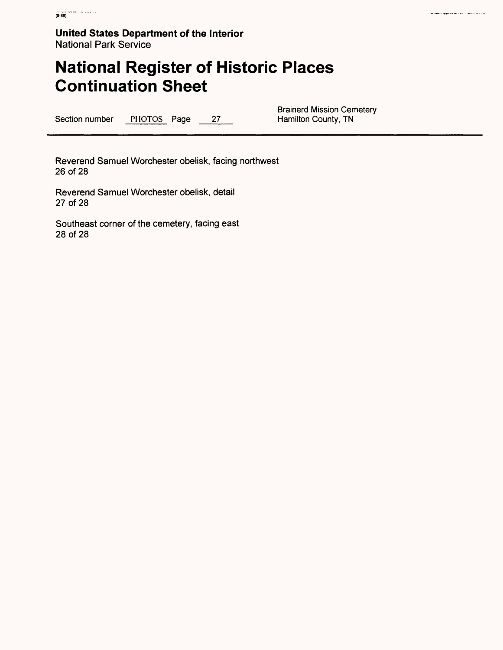# **National Register of Historic Places Continuation Sheet**

Section number PHOTOS Page 27

**Brainerd Mission Cemetery<br>Hamilton County, TN** 

Reverend Samuel Worchester obelisk, facing northwest 26 of 28

Reverend Samuel Worchester obelisk, detail 27 of 28

Southeast corner of the cemetery, facing east 28 of 28